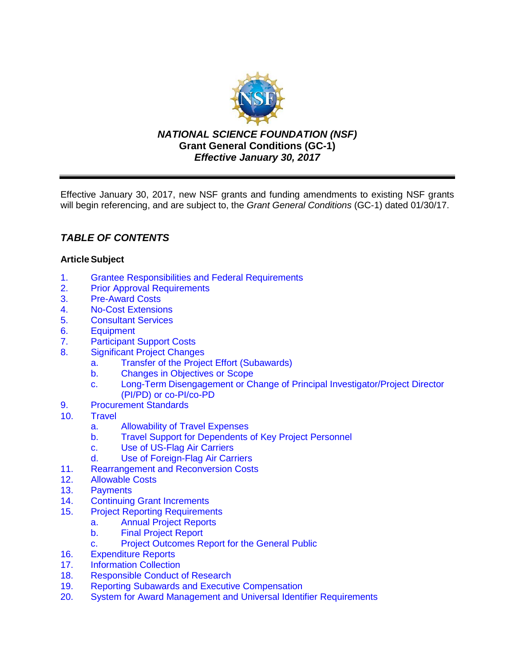

*NATIONAL SCIENCE FOUNDATION (NSF)* **Grant General Conditions (GC-1)** *Effective January 30, 2017*

Effective January 30, 2017, new NSF grants and funding amendments to existing NSF grants will begin referencing, and are subject to, the *Grant General Conditions* (GC-1) dated 01/30/17.

# *TABLE OF CONTENTS*

# **ArticleSubject**

- 1. [Grantee Responsibilities and Federal Requirements](#page-1-0)<br>2. Prior Approval Requirements
- **[Prior Approval Requirements](#page-3-0)**
- 3. [Pre-Award Costs](#page-4-0)
- 4. [No-Cost Extensions](#page-4-1)
- 5. [Consultant Services](#page-4-2)
- 6. [Equipment](#page-4-3)
- 7. [Participant Support Costs](#page-7-0)<br>8. Significant Project Change
- **[Significant Project Changes](#page-7-1)** 
	- a. [Transfer of the Project Effort \(Subawards\)](#page-7-2)
	- b. Changes [in Objectives or Scope](#page-8-0)
	- c. Long-Term Disengagement [or Change of Principal Investigator/Project Director](#page-8-1)  (PI/PD) or co-PI/co-PD
- 9. [Procurement Standards](#page-8-2)
- 10. [Travel](#page-9-0)
	- a. [Allowability of Travel Expenses](#page-9-1)
	- b. [Travel Support for Dependents of Key Project Personnel](#page-9-2)
	- c. [Use of US-Flag Air Carriers](#page-9-3)
	- d. [Use of Foreign-Flag Air Carriers](#page-10-0)
- 11. [Rearrangement and Reconversion Costs](#page-11-0)
- 12. [Allowable Costs](#page-12-0)
- 13. [Payments](#page-12-1)<br>14. Continuing
- **Continuing Grant Increments**
- 15. [Project Reporting Requirements](#page-13-0)
	- a. [Annual Project Reports](#page-13-1)
		- b. [Final Project Report](#page-13-2)
		- c. [Project Outcomes Report for](#page-14-2) the General Public
- 16. [Expenditure Reports](#page-14-0)
- 17. [Information Collection](#page-14-1)
- 18. [Responsible Conduct of Research](#page-15-0)
- 19. [Reporting Subawards and Executive Compensation](#page-15-0)
- 20. System for Award Management [and Universal Identifier Requirements](#page-19-0)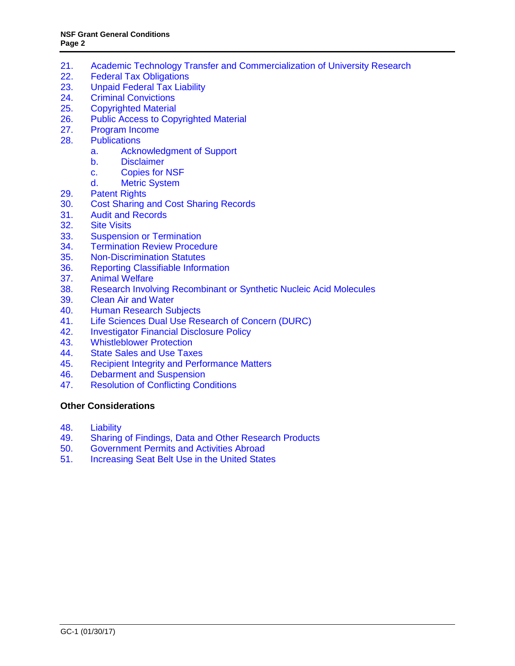- 21. Academic Technology Transfer [and Commercialization of University Research](#page-20-0)<br>22. Federal Tax Obligations
- **[Federal Tax Obligations](#page-21-1)**
- 23. [Unpaid Federal Tax Liability](#page-21-1)
- 24. [Criminal Convictions](#page-21-1)
- 25. [Copyrighted Material](#page-21-0)
- 26. [Public Access to Copyrighted Material](#page-22-0)
- 27. [Program Income](#page-23-0)
- 28. [Publications](#page-24-0)
	- a. [Acknowledgment of Support](#page-24-1)
	- b. [Disclaimer](#page-25-0)<br>c. Copies for
		- [Copies for NSF](#page-25-1)
	- d. [Metric System](#page-25-2)
- 29. [Patent Rights](#page-25-3)
- 30. [Cost Sharing and Cost Sharing Records](#page-31-0)
- 31. [Audit and Records](#page-32-0)
- 32. [Site Visits](#page-32-1)<br>33. Suspensio
- 33. [Suspension or Termination](#page-32-2)<br>34. Termination Review Proced
- **[Termination Review Procedure](#page-33-0)**
- 35. [Non-Discrimination](#page-34-0) Statutes
- 36. [Reporting Classifiable Information](#page-34-1)
- 37. [Animal Welfare](#page-35-0)
- 38. [Research Involving Recombinant or Synthetic Nucleic Acid Molecules](#page-35-1)
- 39. [Clean Air and Water](#page-36-0)<br>40. Human Research Su
- **[Human Research Subjects](#page-36-1)**
- 41. [Life Sciences Dual Use Research of Concern \(DURC\)](#page-36-2)
- 42. [Investigator Financial Disclosure Policy](#page-37-0)
- 43. [Whistleblower Protection](#page-37-1)
- 44. [State Sales and Use Taxes](#page-37-1)
- 45. [Recipient Integrity and Performance Matters](#page-37-4)
- 46. [Debarment and Suspension](#page-37-2)<br>47. Resolution of Conflicting Cor
- 47. [Resolution of Conflicting Conditions](#page-37-3)

#### **[Other Considerations](#page-38-0)**

- 48. [Liability](#page-38-1)
- 49. Sharing of Findings, Data [and Other Research Products](#page-38-2)
- 50. [Government Permits and Activities Abroad](#page-38-3)<br>51. Increasing Seat Belt Use in the United State
- <span id="page-1-0"></span>[Increasing Seat Belt Use in the United States](#page-39-0)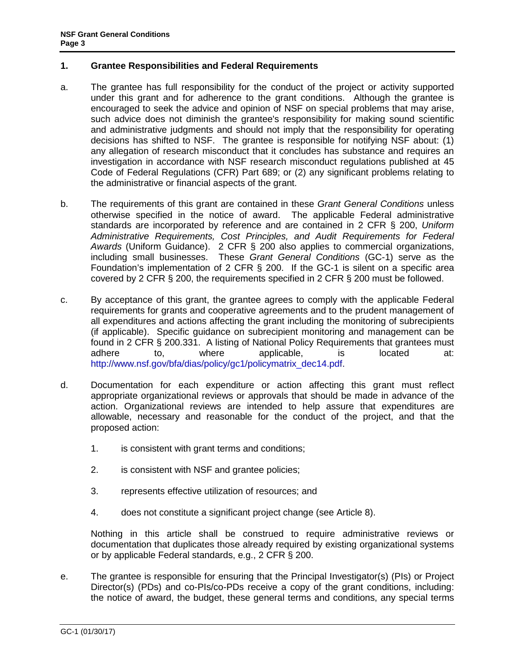### **1. Grantee Responsibilities and Federal Requirements**

- a. The grantee has full responsibility for the conduct of the project or activity supported under this grant and for adherence to the grant conditions. Although the grantee is encouraged to seek the advice and opinion of NSF on special problems that may arise, such advice does not diminish the grantee's responsibility for making sound scientific and administrative judgments and should not imply that the responsibility for operating decisions has shifted to NSF. The grantee is responsible for notifying NSF about: (1) any allegation of research misconduct that it concludes has substance and requires an investigation in accordance with NSF research misconduct regulations published at [45](http://www.access.gpo.gov/nara/cfr/waisidx_06/45cfr689_06.html)  [Code of Federal Regulations \(CFR\) Part 689;](http://www.access.gpo.gov/nara/cfr/waisidx_06/45cfr689_06.html) or (2) any significant problems relating to the administrative or financial aspects of the grant.
- b. The requirements of this grant are contained in these *Grant General Conditions* unless otherwise specified in the notice of award. The applicable Federal administrative standards are incorporated by reference and are contained in [2 CFR § 200,](http://www.ecfr.gov/cgi-bin/text-idx?SID=704835d27377ef5213a51c149de40cab&node=2:1.1.2.2.1&rgn=div5) *Uniform Administrative Requirements, Cost Principles, and Audit Requirements for Federal Awards* (Uniform Guidance). 2 CFR § 200 also applies to commercial organizations, including small businesses. These *Grant General Conditions* (GC-1) serve as the Foundation's implementation of 2 CFR § 200. If the GC-1 is silent on a specific area covered by 2 CFR § 200, the requirements specified in 2 CFR § 200 must be followed.
- c. By acceptance of this grant, the grantee agrees to comply with the applicable Federal requirements for grants and cooperative agreements and to the prudent management of all expenditures and actions affecting the grant including the monitoring of subrecipients (if applicable). Specific guidance on subrecipient monitoring and management can be found in 2 CFR § 200.331. A listing of National Policy Requirements that grantees must adhere to, where applicable, is located at: [http://www.nsf.gov/bfa/dias/policy/gc1/policymatrix\\_dec14.pdf.](http://www.nsf.gov/bfa/dias/policy/gc1/policymatrix_dec14.pdf)
- d. Documentation for each expenditure or action affecting this grant must reflect appropriate organizational reviews or approvals that should be made in advance of the action. Organizational reviews are intended to help assure that expenditures are allowable, necessary and reasonable for the conduct of the project, and that the proposed action:
	- 1. is consistent with grant terms and conditions;
	- 2. is consistent with NSF and grantee policies;
	- 3. represents effective utilization of resources; and
	- 4. does not constitute a significant project change (see Article 8).

Nothing in this article shall be construed to require administrative reviews or documentation that duplicates those already required by existing organizational systems or by applicable Federal standards, e.g., 2 CFR § 200.

e. The grantee is responsible for ensuring that the Principal Investigator(s) (PIs) or Project Director(s) (PDs) and co-PIs/co-PDs receive a copy of the grant conditions, including: the notice of award, the budget, these general terms and conditions, any special terms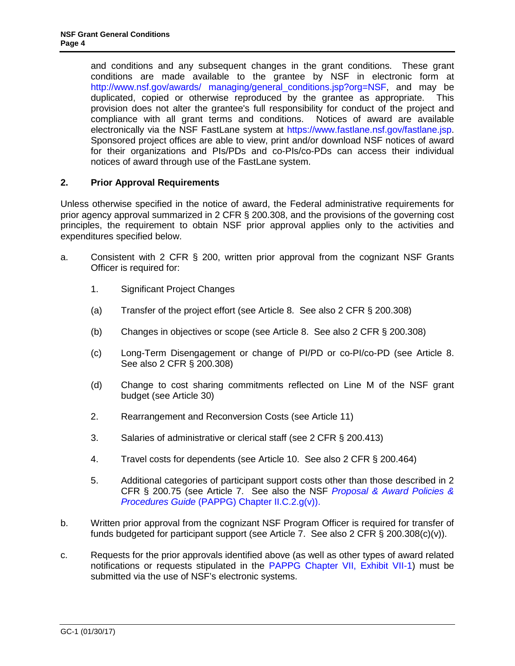and conditions and any subsequent changes in the grant conditions. These grant conditions are made available to the grantee by NSF in electronic form at http://www.nsf.gov/awards/ managing/general\_conditions.jsp?org=NSF, and may be duplicated, copied or otherwise reproduced by the grantee as appropriate. This provision does not alter the grantee's full responsibility for conduct of the project and compliance with all grant [terms and conditions. Notices](http://www.nsf.gov/awards/managing/general_conditions.jsp?org=NSF) of award are available electronically via the NSF FastLane system at https://www.fastlane.nsf.gov/fastlane.jsp. Sponsored project offices are able to view, print and/or download NSF notices of award for their organizations and PIs/PDs and co-PIs/co-PDs can access their individual notices of award through use of the FastLane s[ystem.](https://www.fastlane.nsf.gov/fastlane.jsp)

# **2. Prior Approval Requirements**

<span id="page-3-0"></span>Unless otherwise specified in the notice of award, the Federal administrative requirements for prior agency approval summarized in 2 CFR § 200.308, and the provisions of the governing cost principles, the requirement to obtain NSF prior approval applies only to the activities and expenditures specified below.

- a. Consistent with 2 CFR § 200, written prior approval from the cognizant NSF Grants Officer is required for:
	- 1. Significant Project Changes
	- (a) Transfer of the project effort (see Article 8. See also 2 CFR § 200.308)
	- (b) Changes in objectives or scope (see Art[icle 8. Se](#page-7-1)e also 2 CFR § 200.308)
	- (c) Long-Term Disengagement or change of PI/P[D or co-P](#page-7-1)I/co-PD (see Article 8. See also 2 CFR § 200.308)
	- (d) Chang[e to cost](#page-7-1) sharing commitments reflected on Line M of the NSF grant budget (see Article 30)
	- 2. Rearrangement and Rec[onversio](#page-31-0)n Costs (see Article 11)
	- 3. Salaries of administrative or clerical staff (see [2 CFR § 20](#page-11-0)0.413)
	- 4. Travel costs for dependents (see Article 10. See also 2 CFR § 200.464)
	- 5. Additional categories of participant support costs other than those described in 2 CFR § 200.75 (see Article 7. See also the NSF *[Proposal & Award Policies &](https://www.nsf.gov/pubs/policydocs/pappg17_1/pappg_2.jsp#IIC2gv)  Procedures Guide* [\(PAPPG\) Chapter II.C.2.g\(v\)\).](https://www.nsf.gov/pubs/policydocs/pappg17_1/pappg_2.jsp#IIC2gv)
- b. Written prior approval from the cognizant NSF Program Officer is required for transfer of funds budgeted for participant support (see [Article 7.](#page-7-0) See also 2 CFR  $\S$  200.308(c)(v)).
- c. Requests for the prior approvals identified above (as well as other types of award related notifications or requests stipulated in the [PAPPG Chapter VII, Exhibit VII-1\)](https://www.nsf.gov/pubs/policydocs/pappg17_1/pappg_7ex1.pdf) must be submitted via the use of NSF's electronic systems.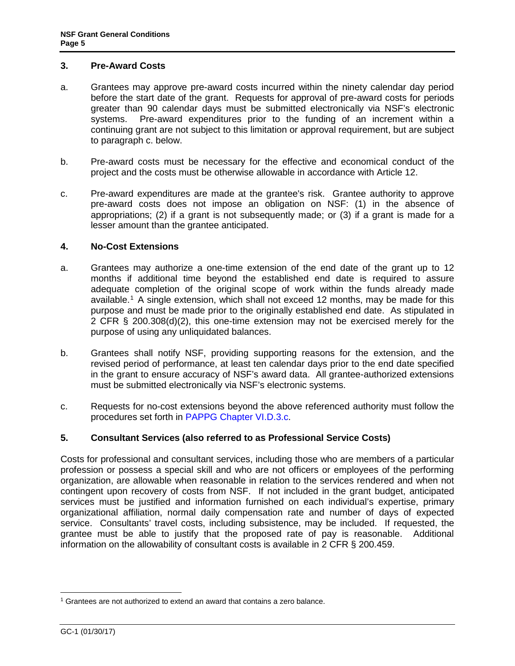### <span id="page-4-0"></span>**3. Pre-Award Costs**

- a. Grantees may approve pre-award costs incurred within the ninety calendar day period before the start date of the grant. Requests for approval of pre-award costs for periods greater than 90 calendar days must be submitted electronically via NSF's electronic systems. Pre-award expenditures prior to the funding of an increment within a continuing grant are not subject to this limitation or approval requirement, but are subject to paragraph c. below.
- b. Pre-award costs must be necessary for the effective and economical conduct of the project and the costs must be otherwise allowable in accordance with [Article 12.](#page-12-0)
- c. Pre-award expenditures are made at the grantee's risk. Grantee authority to approve pre-award costs does not impose an obligation on NSF: (1) in the absence of appropriations; (2) if a grant is not subsequently made; or (3) if a grant is made for a lesser amount than the grantee anticipated.

### <span id="page-4-1"></span>**4. No-Cost Extensions**

- a. Grantees may authorize a one-time extension of the end date of the grant up to 12 months i[f](#page-4-4) additional time beyond the established end date is required to assure adequate completion of the original scope of work within the funds already made available.<sup>1</sup> A single extension, which shall not exceed 12 months, may be made for this purpose and must be made prior to the originally established end date. As stipulated in 2 CFR § 200.308(d)(2), this one-time extension may not be exercised merely for the purpose of using any unliquidated balances.
- b. Grantees shall notify NSF, providing supporting reasons for the extension, and the revised period of performance, at least ten calendar days prior to the end date specified in the grant to ensure accuracy of NSF's award data. All grantee-authorized extensions must be submitted electronically via NSF's electronic systems.
- <span id="page-4-2"></span>c. Requests for no-cost [extensions beyond the abo](https://www.nsf.gov/pubs/policydocs/pappg17_1/pappg_6.jsp#VID3c)ve referenced authority must follow the procedures set forth in PAPPG Chapter VI.D.3.c.

# **5. Consultant Services (also referred to as Professional Service Costs)**

Costs for professional and consultant services, including those who are members of a particular profession or possess a special skill and who are not officers or employees of the performing organization, are allowable when reasonable in relation to the services rendered and when not contingent upon recovery of costs from NSF. If not included in the grant budget, anticipated services must be justified and information furnished on each individual's expertise, primary organizational affiliation, normal daily compensation rate and number of days of expected service. Consultants' travel costs, including subsistence, may be included. If requested, the grantee must be able to justify that the proposed rate of pay is reasonable. Additional information on the allowability of consultant costs is available in 2 CFR § 200.459.

<span id="page-4-4"></span><span id="page-4-3"></span> $\overline{a}$  $1$  Grantees are not authorized to extend an award that contains a zero balance.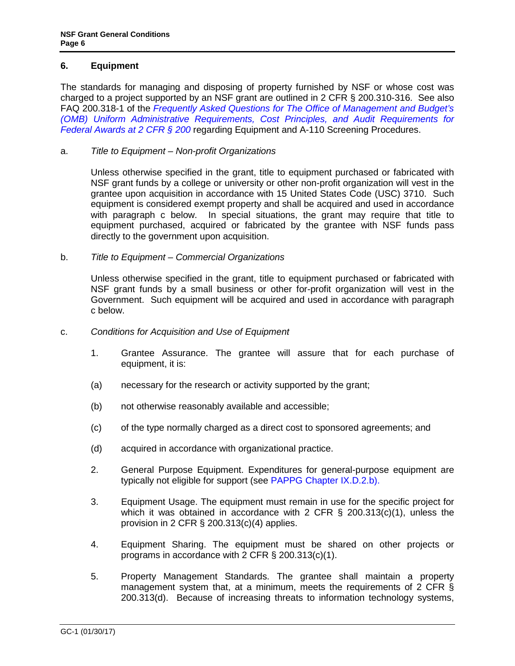# **6. Equipment**

The standards for managing and disposing of property furnished by NSF or whose cost was charged to a project supported by an NSF grant are outlined in 2 CFR § 200.310-316. See also FAQ 200.318-1 of the *[Frequently Asked Questions for The Office of Management and Budget's](https://cfo.gov/wp-content/uploads/2015/09/9.9.15-Frequently-Asked-Questions.pdf) (OMB) [Uniform Administrative Requirements, Cost Principles, and Audit Requirements for](https://cfo.gov/wp-content/uploads/2015/09/9.9.15-Frequently-Asked-Questions.pdf)  [Federal Awards at 2 CFR § 200](https://cfo.gov/wp-content/uploads/2015/09/9.9.15-Frequently-Asked-Questions.pdf)* regarding Equipment and A-110 Screening Procedures.

### a. *Title to Equipment – Non-profit Organizations*

Unless otherwise specified in the grant, title to equipment purchased or fabricated with NSF grant funds by a college or university or other non-profit organization will vest in the grantee upon acquisition in accordance with 15 United States Code (USC) 3710. Such equi[pment is consi](#page-5-0)dered exempt property and shall be acquired and used in accordance with paragraph c below. In special situations, the grant may require that title to equipment purchased, acquired or fabricated by the grantee with NSF funds pass directly to the government upon acquisition.

### b. *Title to Equipment – Commercial Organizations*

Unless otherwise specified in the grant, title to equipment purchased or fabr[icated with](#page-5-0)  [NS](#page-5-0)F grant funds by a small business or other for-profit organization will vest in the Government. Such equipment will be acquired and used in accordance with paragraph c below.

### <span id="page-5-0"></span>c. *Conditions for Acquisition and Use of Equipment*

- 1. Grantee Assurance. The grantee will assure that for each purchase of equipment, it is:
- (a) necessary for the research or activity supported by the grant;
- (b) not otherwise reasonably available and accessible;
- (c) of the type normally charged as a direct cost to sponsored agreements; and
- (d) acquired in accordance with organizational practice.
- 2. General Purpose Equipment. Exp[enditures for general-purpos](https://www.nsf.gov/pubs/policydocs/pappg17_1/pappg_9.jsp#IXD2)e equipment are typically not eligible for support (see PAPPG [Chapter IX.D.2.b\).](http://a257.g.akamaitech.net/7/257/2422/15mar20071500/edocket.access.gpo.gov/cfr_2007/janqtr/pdf/2cfr215.34.pdf)
- 3. Equipment [Usage. The equipment](http://a257.g.akamaitech.net/7/257/2422/15mar20071500/edocket.access.gpo.gov/cfr_2007/janqtr/pdf/2cfr215.34.pdf) must remain in use for the specific project for which it was obtained in accordance with 2 CFR  $\S$  200.313(c)(1), unless the provision in 2 CFR § 200.313(c)(4) [applies.](http://a257.g.akamaitech.net/7/257/2422/15mar20071500/edocket.access.gpo.gov/cfr_2007/janqtr/pdf/2cfr215.34.pdf)
- 4. Equipment Sharing. The equipment must be shared on other projects or programs in accordance with 2 CFR § 200.313(c)(1).
- 5. Property Management Standards. The grantee shall maintain a property management system that, at a minimum, meets the requirements of 2 CFR § 200.313(d). Because of increasing threats to information technology systems,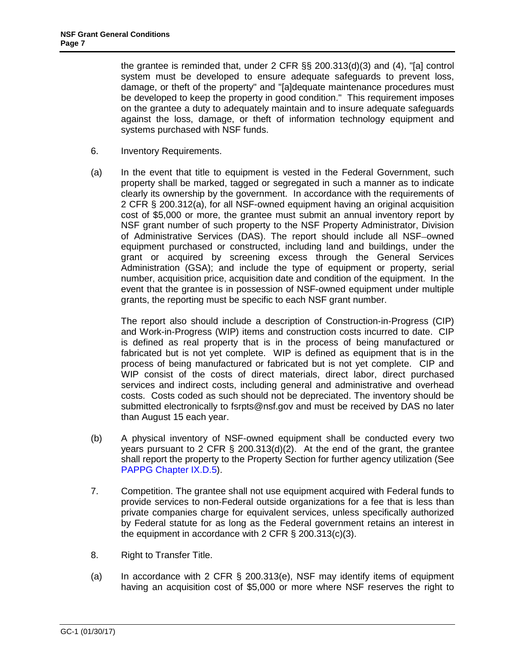the grantee is reminded that, under 2 CFR §§ 200.313(d)(3) and (4), "[a] control system must be developed to ensure adequate safeguards to pre[vent loss,](http://a257.g.akamaitech.net/7/257/2422/15mar20071500/edocket.access.gpo.gov/cfr_2007/janqtr/pdf/2cfr215.34.pdf)  [damage, or](http://a257.g.akamaitech.net/7/257/2422/15mar20071500/edocket.access.gpo.gov/cfr_2007/janqtr/pdf/2cfr215.34.pdf) theft of the property" and "[a]dequate maintenance procedures must be developed to keep the property i[n good condition." This requirem](http://a257.g.akamaitech.net/7/257/2422/15mar20071500/edocket.access.gpo.gov/cfr_2007/janqtr/pdf/2cfr215.34.pdf)ent imposes on the grantee a duty to adequately maintain and to insure adequate safeguards against the loss, damage, or theft of information technology equipment and systems purchased with NSF funds.

- 6. Inventory Requirements.
- (a) In the event that title to equipment is vested in the Federal Government, such property shall be marked, tagged or segregated in such a manner as to indicate clearly its ownership by the government. In accordance with the requirements of 2 CFR § 200.312(a), for all NSF-owned equipment having an original acquisition cost of \$5,000 or more, the grantee must submit an annual inventory report by NSF grant number of such property to the NSF Property Administrator, Division of Administrative Services (DAS). The report should include all NSF-owned equipment purchased or constructed, including land and buildings, under the grant or acquired by screening excess through the General Services Administration (GSA); and include the type of equipment or property, serial number, acquisition price, acquisition date and condition of the equipment. In the event that the grantee is in possession of NSF-owned equipment under multiple grants, the reporting must be specific to each NSF grant number.

The report also should include a description of Construction-in-Progress (CIP) and Work-in-Progress (WIP) items and construction costs incurred to date. CIP is defined as real property that is in the process of being manufactured or fabricated but is not yet complete. WIP is defined as equipment that is in the process of being manufactured or fabricated but is not yet complete. CIP and WIP consist of the costs of direct materials, direct labor, direct purchased services and indirect costs, including general and administrative and overhead costs. Costs coded as such should not be depreciated. The inventory should be submitted electronically to fsrpts@nsf.gov and must be received by DAS no later than August 15 each year.

- (b) A physical inventory of NSF-owned equipment shall be conducted every two years pursuant to 2 CFR  $\S$  200.313(d)(2). At the end of the grant, the grantee shall report the propert[y to the Property S](mailto:fsrpts@nsf.gov)ection for further agency utilization (See PAPPG Chapter IX.D.5).
- 7. Competition. The grantee shall not use equipment acquired with Federal funds to provide services to non-Federal outside organizations for a fee that is less than private companies charge fo[r equivalent services, un](http://a257.g.akamaitech.net/7/257/2422/15mar20071500/edocket.access.gpo.gov/cfr_2007/janqtr/pdf/2cfr215.34.pdf)less specifically authorized by Federal statute for as long as the Federal government retains an interest in the equipment in accordance [with 2 CFR § 200.313\(c\)\(](https://www.nsf.gov/pubs/policydocs/pappg17_1/pappg_9.jsp#IXD5)3).
- 8. Right to Transfer Title.
- (a) In accordance with 2 CFR § 200.313(e), NSF may identify items of equipment having an acquisition cost of \$5,[000 or more where](http://a257.g.akamaitech.net/7/257/2422/15mar20071500/edocket.access.gpo.gov/cfr_2007/janqtr/pdf/2cfr215.34.pdf) NSF reserves the right to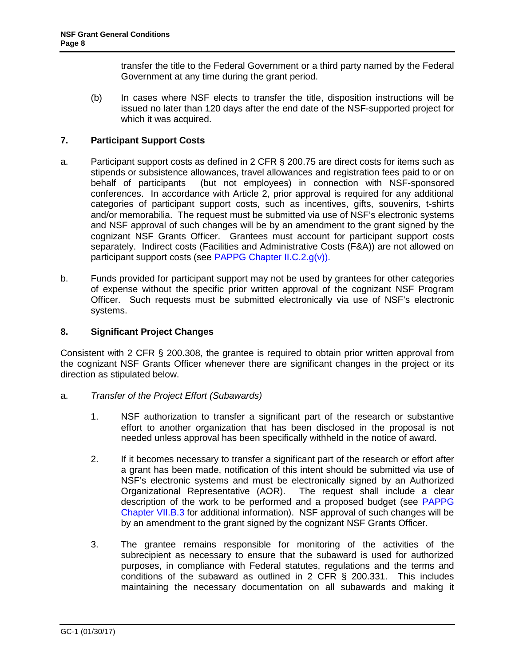transfer the title to the Federal Government or a third party named by the Federal Government at any time during the grant period.

(b) In cases where NSF elects to transfer the title, disposition instructions will be issued no later than 120 days after the end date of the NSF-supported project for which it was acquired.

# **7. Participant Support Costs**

- <span id="page-7-0"></span>a. Participant support costs as defined in 2 CFR § 200.75 are direct costs for items such as stipends or subsistence allowances, travel allowances and registration fees paid to or on behalf of participants (but not employees) in connection with NSF-sponsored conferences. In accordance with Article 2, prior approval is required for any additional categories of participant support costs, such as incentives, gifts, souvenirs, t-shirts and/or memorabilia. The request must be submitted via use of NSF's electronic systems and NSF approval of such changes will be by an amendment to the grant signed by the cognizant NSF Grants Officer. Grantees must account for participant support costs separately. Indirect costs (Facilities and Administrative Costs (F&A)) are not allowed on participant support costs (see PAPPG Chapter II.C.2.g(v)).
- b. Funds provided for participant support may not be used by grantees for other categories of expense without the specific prior written approval of the cognizant NSF Program Officer. Such requests mu[st be submitted electronically](https://www.nsf.gov/pubs/policydocs/pappg17_1/pappg_2.jsp#IIC2gv) via use of NSF's electronic systems.

# **8. Significant Project Changes**

<span id="page-7-1"></span>Consistent with 2 CFR § 200.308, the grantee is required to obtain prior written approval from the cognizant NSF Grants Officer whenever there are significant changes in the project or its direction as stipulated below.

- <span id="page-7-2"></span>a. *Transfer of the Project Effort (Subawards)*
	- 1. NSF authorization to transfer a significant part of the research or substantive effort to another organization that has been disclosed in the proposal is not needed unless approval has been specifically withheld in the notice of award.
	- 2. If it becomes necessary to transfer a significant part of the research or effort after a grant has been made, notification of this intent should be submitted via use of NSF's electronic systems and must be electronically signed by an Authorized Organizational Representative (AOR). The request shall include a clear description of the work to be performed and a proposed budget (see PAPPG Chapter VII.B.3 for additional information). NSF approval of such changes will be by an amendment to the grant signed by the cognizant NSF Grants Offic[er.](https://www.nsf.gov/pubs/policydocs/pappg17_1/pappg_7.jsp#VIIB3)
	- 3. [The grantee r](https://www.nsf.gov/pubs/policydocs/pappg17_1/pappg_7.jsp#VIIB3)emains responsible for monitoring of the activities of the subrecipient as necessary to ensure that the subaward is used for authorized purposes, in compliance with Federal statutes, regulations and the terms and conditions of the subaward as outlined in 2 CFR § 200.331. This includes maintaining the necessary documentation on all subawards and making it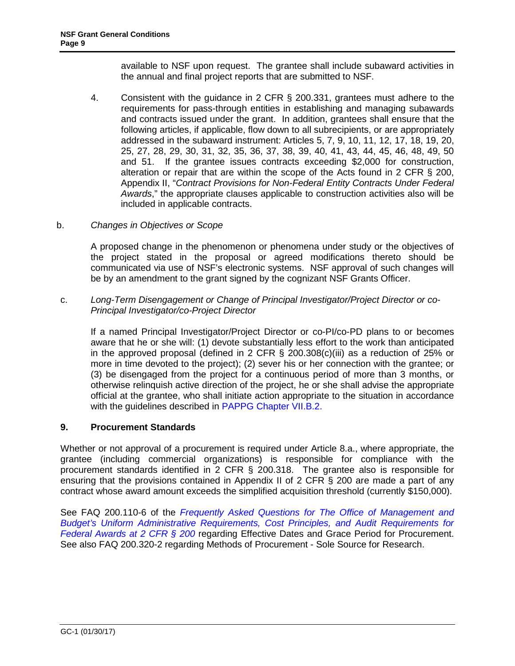available to NSF upon request. The grantee shall include subaward activities in the annual and final project reports that are submitted to NSF.

- 4. Consistent with the guidance in 2 CFR § 200.331, grantees must adhere to the requirements for pass-through entities in establishing and managing subawards and contracts issued under the grant. In addition, grantees shall ensure that the following articles, if applicable, flow down to all subrecipients, or are appropriately addressed in the subaward instrument: Articles 5, 7, 9, 10, 11, 12, 17, 18, 19, 20, 25, 27, 28, 29, 30, 31, 32, 35, 36, 37, 38, 39, 40, 41, 43, 44, 45, 46, 48, 49, 50 and 51. If the grantee issues contracts exceeding \$2,000 for construction, alteration or repair that are within the scope of the Acts found in 2 CFR § 200, Appendix II, "*Contract Provisions for Non-Federal Entity Contracts Under Federal Awards*," the appropriate clauses applicable to construction activities also will be included in applicable contracts.
- b. *[Changes in Objectives or Scope](http://www.access.gpo.gov/nara/cfr/waisidx_07/2cfr215_07.html)*

A proposed change in the phenomenon or phenomena under study or the objectives of the project stated in the proposal or agreed modifications thereto should be communicated via use of NSF's electronic systems. NSF approval of such changes will be by an amendment to the grant signed by the cognizant NSF Grants Officer.

<span id="page-8-0"></span>c. *Long-Term Disengagement or Change of Principal Investigator/Project Director or co-Principal Investigator/co-Project Director*

<span id="page-8-1"></span>If a named Principal Investigator/Project Director or co-PI/co-PD plans to or becomes aware that he or she will: (1) devote substantially less effort to the work than anticipated in the approved proposal (defined in 2 CFR § 200.308(c)(iii) as a reduction of 25% or more in time devoted to the project); (2) sever his or her connection with the grantee; or (3) be disengaged from the project for a continuous period of more than 3 months, or otherwise relinquish active direction of the project, he or she shall advise the appropriate official at the grantee, who shall initiate action appropriate to the situation in accordance with the guidelines described in PAPPG Chapter VII.B.2.

# **9. Procurement Standards**

<span id="page-8-2"></span>Whether or not approval of a procure[ment is required under Arti](https://www.nsf.gov/pubs/policydocs/pappg17_1/pappg_7.jsp#VIIB2)cle 8.a., where appropriate, the grantee (including commercial organizations) is responsible for compliance with the procurement standards identified in 2 CFR § 200.318. The grantee also is responsible for ensuring that the provisions contained in Appendix II of 2 [CFR § 200](#page-7-2) are made a part of any contract whose award amount excee[ds the simplified](http://www.access.gpo.gov/nara/cfr/waisidx_07/2cfr215_07.html) acquisition threshold (currently \$150,000).

See FAQ 200.110-6 of the *Frequently Asked Questions for The Office of Management and Budget's Uniform Administrative Requirements, Cost Principles, and Audit Requirements for Federal Awards at 2 CFR § 200* regarding Effective Dates and Grace Period for Procurement. [See also FAQ 200.320-2 regarding Methods of Procurement - Sole Source for Research.](https://cfo.gov/wp-content/uploads/2015/09/9.9.15-Frequently-Asked-Questions.pdf)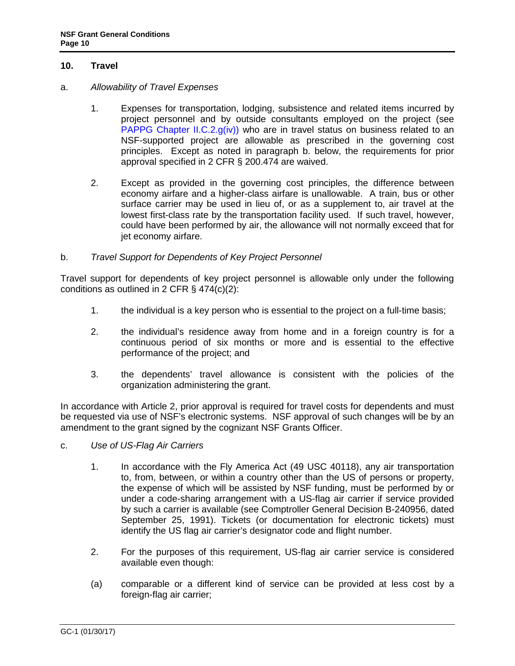### <span id="page-9-0"></span>**10. Travel**

#### <span id="page-9-1"></span>a. *Allowability of Travel Expenses*

- 1. Expenses for transportation, lodging, subsistence and related items incurred by project personnel and by outside consultants employed on the project (see PAPPG Chapter II.C.2. $g(iv)$ ) who are in travel status on business related to an NSF-supported project are allowable as prescribed in the governing cost principles. Except as noted in paragraph b. below, the requirements for prior approval specified in 2 CFR § 200.474 are waived.
- 2. Except as provided in the governing cost principles, the difference between economy airfare and a higher-class airfare is unallowable. A train, bus or other surface carrier may be used in lieu of, or as a supplement to, air travel at the lowest first-class rate by the transportation facility used. If such travel, however, could have been performed by air, the allowance will not normally exceed that for jet economy airfare.

### <span id="page-9-2"></span>b. *Travel Support for Dependents of Key Project Personnel*

Travel support for dependents of key project personnel is allowable only under the following conditions as outlined in 2 CFR § 474(c)(2):

- 1. the individual is a key person who is essential to the project on a full-time basis;
- 2. the individual's residence away from home and in a foreign country is for a continuous period of six months or more and is essential to the effective performance of the project; and
- 3. the dependents' travel allowance is consistent with the policies of the organization administering the grant.

In accordance with Article 2, prior approval is required for travel costs for dependents and must be requested via use of NSF's electronic systems. NSF approval of such changes will be by an amendment to the grant signed by the cognizant NSF Grants Officer.

- <span id="page-9-3"></span>c. *Use of US-Flag Air Carriers*
	- 1. In accordance with the Fly America Act (49 USC 40118), any air transportation to, from, between, or within a country other than the US of persons or property, the expense of which will be assisted by NSF funding, must be performed by or under a code-sharing arrangement with a US-flag air carrier if service provided by such a carrier is available (see Comptroller General Decision B-240956, dated September 25, 1991). Tickets (or documentation for electronic tickets) must identify the US flag air carrier's designator code and flight number.
	- 2. For the purposes of this requirement, US-flag air carrier service is considered available even though:
	- (a) comparable or a different kind of service can be provided at less cost by a foreign-flag air carrier;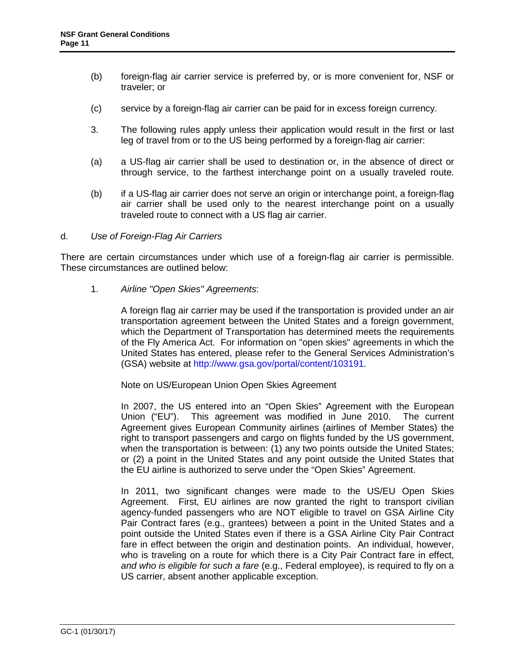- <span id="page-10-0"></span>(b) foreign-flag air carrier service is preferred by, or is more convenient for, NSF or traveler; or
- (c) service by a foreign-flag air carrier can be paid for in excess foreign currency.
- 3. The following rules apply unless their application would result in the first or last leg of travel from or to the US being performed by a foreign-flag air carrier:
- (a) a US-flag air carrier shall be used to destination or, in the absence of direct or through service, to the farthest interchange point on a usually traveled route.
- (b) if a US-flag air carrier does not serve an origin or interchange point, a foreign-flag air carrier shall be used only to the nearest interchange point on a usually traveled route to connect with a US flag air carrier.

#### d. *Use of Foreign-Flag Air Carriers*

There are certain circumstances under which use of a foreign-flag air carrier is permissible. These circumstances are outlined below:

1. *Airline "Open Skies" Agreements*:

A foreign flag air carrier may be used if the transportation is provided under an air transportation agreement b[etween the United States and a foreign go](http://www.gsa.gov/portal/content/103191)vernment, which the Department of Transportation has determined meets the requirements of the Fly America Act. For information on "open skies" agreements in which the United States has entered, please refer to the General Services Administration's (GSA) website at http://www.gsa.gov/portal/content/103191.

Note on US/European Union Open Skies Agreement

In 2007, the US entered into an "Open Skies" Agreement with the European Union ("EU"). This agreement was modified in June 2010. The current Agreement gives European Community airlines (airlines of Member States) the right to transport passengers and cargo on flights funded by the US government, when the transportation is between: (1) any two points outside the United States; or (2) a point in the United States and any point outside the United States that the EU airline is authorized to serve under the "Open Skies" Agreement.

In 2011, two significant changes were made to the US/EU Open Skies Agreement. First, EU airlines are now granted the right to transport civilian agency-funded passengers who are NOT eligible to travel on GSA Airline City Pair Contract fares (e.g., grantees) between a point in the United States and a point outside the United States even if there is a GSA Airline City Pair Contract fare in effect between the origin and destination points. An individual, however, who is traveling on a route for which there is a City Pair Contract fare in effect, *and who is eligible for such a fare* (e.g., Federal employee), is required to fly on a US carrier, absent another applicable exception.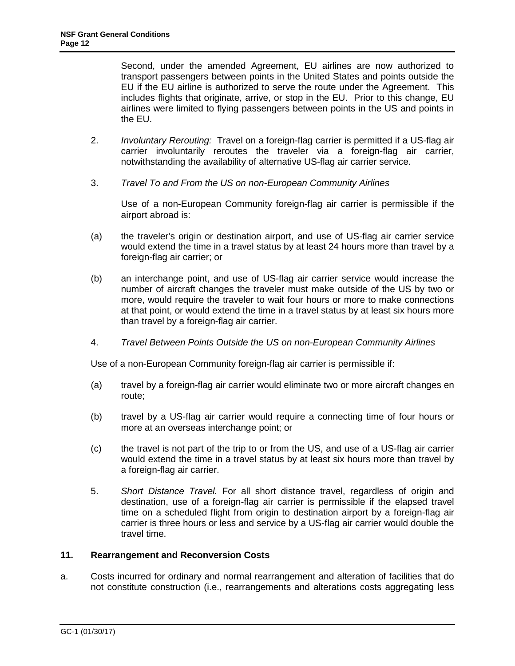Second, under the amended Agreement, EU airlines are now authorized to transport passengers between points in the United States and points outside the EU if the EU airline is authorized to serve the route under the Agreement. This includes flights that originate, arrive, or stop in the EU. Prior to this change, EU airlines were limited to flying passengers between points in the US and points in the EU.

- 2. *Involuntary Rerouting:* Travel on a foreign-flag carrier is permitted if a US-flag air carrier involuntarily reroutes the traveler via a foreign-flag air carrier, notwithstanding the availability of alternative US-flag air carrier service.
- 3. *Travel To and From the US on non-European Community Airlines*

Use of a non-European Community foreign-flag air carrier is permissible if the airport abroad is:

- (a) the traveler's origin or destination airport, and use of US-flag air carrier service would extend the time in a travel status by at least 24 hours more than travel by a foreign-flag air carrier; or
- (b) an interchange point, and use of US-flag air carrier service would increase the number of aircraft changes the traveler must make outside of the US by two or more, would require the traveler to wait four hours or more to make connections at that point, or would extend the time in a travel status by at least six hours more than travel by a foreign-flag air carrier.
- 4. *Travel Between Points Outside the US on non-European Community Airlines*

Use of a non-European Community foreign-flag air carrier is permissible if:

- (a) travel by a foreign-flag air carrier would eliminate two or more aircraft changes en route;
- (b) travel by a US-flag air carrier would require a connecting time of four hours or more at an overseas interchange point; or
- <span id="page-11-0"></span>(c) the travel is not part of the trip to or from the US, and use of a US-flag air carrier would extend the time in a travel status by at least six hours more than travel by a foreign-flag air carrier.
- 5. *Short Distance Travel.* For all short distance travel, regardless of origin and destination, use of a foreign-flag air carrier is permissible if the elapsed travel time on a scheduled flight from origin to destination airport by a foreign-flag air carrier is three hours or less and service by a US-flag air carrier would double the travel time.

# **11. Rearrangement and Reconversion Costs**

a. Costs incurred for ordinary and normal rearrangement and alteration of facilities that do not constitute construction (i.e., rearrangements and alterations costs aggregating less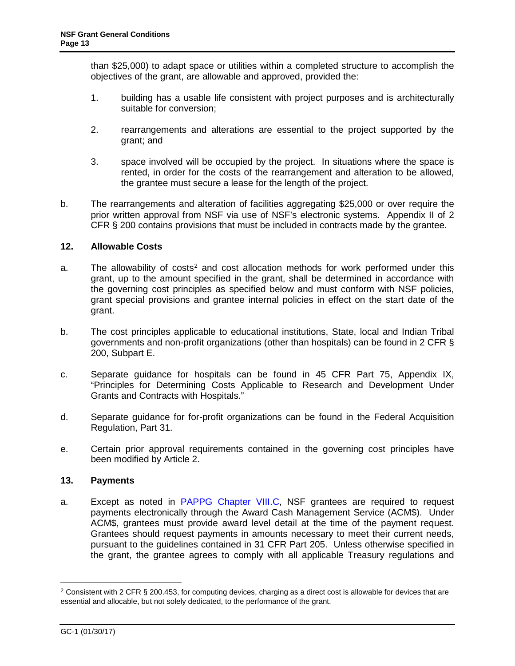than \$25,000) to adapt space or utilities within a completed structure to accomplish the objectives of the grant, are allowable and approved, provided the:

- <span id="page-12-0"></span>1. building has a usable life consistent with project purposes and is architecturally suitable for conversion;
- 2. rearrangements and alterations are essential to the project supported by the grant; and
- 3. space involved will be occupied by the project. In situations where the space is rented, in order for the costs of the rearrangement and alteration to be allowed, the grantee must secure a lease for the length of the project.
- <span id="page-12-2"></span>b. The rearrangements and alteration of facilities aggregating \$25,000 or over require the prior written approval from NSF via use of NSF's electronic systems. Appendix II of 2 CFR § 200 contains provisions that must be included in contracts made by the grantee.

# **12. Allowable Costs**

- a. The allowability of costs<sup>2</sup> and cost allocation methods for work performed under this grant, up to the amount specified in the grant, shall be determined in accordance with the governing cost principles as specified below and must conform with NSF policies, grant special pro[visions an](#page-3-0)d grantee internal policies in effect on the start date of the grant.
- <span id="page-12-1"></span>b. The cost principles applicable to educational institutions, State, local and Indian Tribal governments and no[n-profit organizations \(othe](https://www.nsf.gov/pubs/policydocs/pappg17_1/pappg_8.jsp#VIIIC)r than hospitals) can be found in 2 CFR § 200, Subpart E.
- c. Separate guidance for hospitals can be found in 45 CFR Part 75, Appendix IX, "Principles for Determining Costs Ap[plicable to Resea](http://www.access.gpo.gov/nara/cfr/waisidx_06/31cfr205_06.html)rch and Development Under Grants and Contracts with Hospitals."
- d. S[eparate guidance for](https://www.nsf.gov/pubs/policydocs/pappg17_1/pappg_8.jsp) for-profit organizations can be found in the Federal Acquisition Regulation, Part 31.
- e. Certain prior approval requirements contained in the governing cost principles have been modified by Article 2.

#### **13. Payments**

a. Except as noted in PAPPG Chapter VIII.C, NSF grantees are required to request payments electronically through the Award Cash Management Service (ACM\$). Under ACM\$, grantees must provide award level detail at the time of the payment request. Grantees should request payments in amounts necessary to meet their current needs, pursuant to the guidelines contained in 31 CFR Part 205. Unless otherwise specified in the grant, the grantee agrees to comply with all applicable Treasury regulations and

<sup>-</sup><sup>2</sup> Consistent with 2 CFR § 200.453, for computing devices, charging as a direct cost is allowable for devices that are essential and allocable, but not solely dedicated, to the performance of the grant.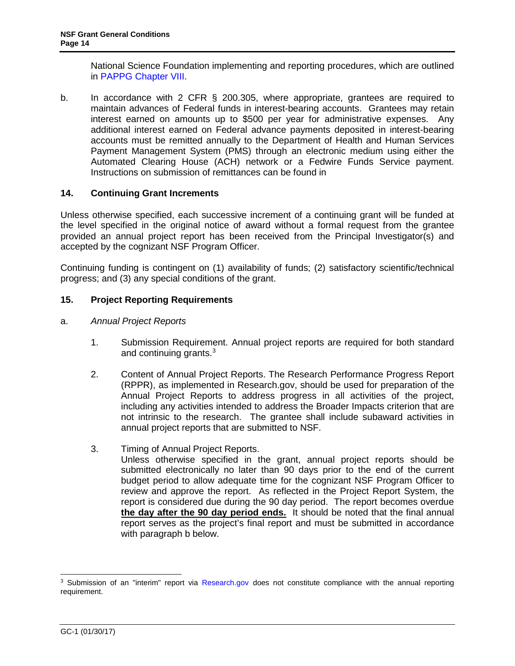National Science Foundation implementing and reporting procedures, which are outlined in PAPPG Chapter VIII.

b. In accordance with 2 CFR § 200.305, where appropriate, grantees are required to maintain advances of Federal funds in interest-bearing accounts. Grantees may retain interest earned on amounts up to \$500 per year for administrative expenses. Any additional interest earned on Federal advance payments deposited in interest-bearing accounts must be remitted annually to the Department of Health and Human Services Payment Management System (PMS) through an electronic medium using either the Automated Clearing House (ACH) network or a Fedwire Funds Service payment. Instructions on submission of remittances can be found in

# <span id="page-13-1"></span><span id="page-13-0"></span>**14. Continuing Grant Increments**

Unless otherwise specified, each successive increment of a continuing grant will be funded at the level specified in the original n[ot](#page-13-3)ice of award without a formal request from the grantee provided an annual project report has been received from the Principal Investigator(s) and accepted by the cognizant NSF Program Officer.

Continuing funding is contingent on (1) availability of funds; (2) satisfactory scientific/technical progress; and (3) any special conditions of the grant.

### **15. Project Reporting Requirements**

- a. *Annual Project Reports*
	- 1. Submission Requirement. Annual project reports are required for both standard and continuing grants.<sup>3</sup>
	- 2. Content of Annual Project Reports. The Research Performance Progress Report (RPPR), as implemented in Research.gov, should be used for preparation of the Annual Project Reports to address progress in all activities of the project, including any activities intended to address the Broader Impacts criterion that are not intrinsic to the research. The grantee shall include subaward activities in annual project reports that are submitted to NSF.
	- 3. Timing of Annual Project Reports.
		- Unless otherwise specified in the grant, annual project reports should be submitted electronically no later than 90 days prior to the end of the current budget period to allow adequate time for the cognizant NSF Program Officer to review and approve the report. As reflected in the Project Report System, the report is considered due during the 90 day period. The report becomes overdue **the day after the 90 day period ends.** It should be noted that the final annual report serves as the project's final report and must be submitted in accordance with paragraph b below.

<span id="page-13-3"></span><span id="page-13-2"></span> $\overline{a}$ <sup>3</sup> Submission of an "interim" report via [Research.gov](http://www.research.gov/) does not constitute compliance with the annual reporting requirement.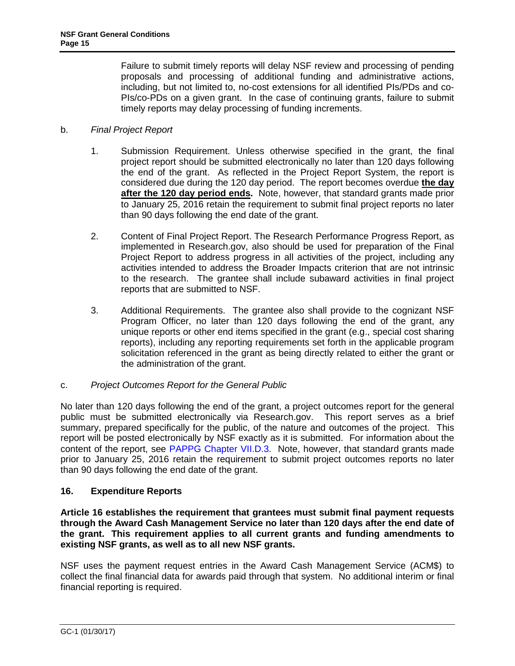<span id="page-14-2"></span>Failure to submit timely reports will delay NSF review and processing of pending proposals and processing of additional funding and administrative actions, including, but not limited to, no-cost extensions for all identified PIs/PDs and co-PIs/co-PDs on a given grant. In the case of continuing grants, failure to submit timely reports may delay processing of funding increments.

### b. *Final Project Report*

- 1. Submission Requirement. Unless otherwise specified in the grant, the final project report should be submitted electronically no later than 120 days following the end of the grant. As reflected in the Project Report System, the report is considered due during the 120 day period. The report becomes overdue **the day after the 120 day period ends.** Note, however, that standard grants made prior to January 25, 2016 retain the requirement to submit final project reports no later than 90 days following the end date of the grant.
- 2. Content of Final Project Report. The Research Performance Progress Report, as implemented in Research.gov, also should be used for preparation of the Final Project Report to address progress in all activities of the project, including any activities intended to address the Broader Impacts criterion that are not intrinsic to the research. The grantee shall include subaward activities in final project reports that are submitted to NSF.
- 3. Additional Requirements. The grantee also shall provide to the cognizant NSF Program Officer, no later than 120 days following the end of the grant, any unique reports or other end items specified in the grant (e.g., special cost sharing reports), including any reporting requirements set forth in the applicable program solicitation referenced in the grant as being directly related to either the grant or the administration of the grant.

# c. *Project Outcomes Report for the General Public*

<span id="page-14-0"></span>No later than 120 days following the end of the grant, a project outcomes report for the general public must be submitted electronically via Research.gov. This report serves as a brief summary, prepared specifically for the public, of the nature and outcomes of the project. This report will be posted electronically by NSF exactly as it is submitted. For information about the content of the report, see PAPPG Chapter VII.D.3. Note, however, that standard grants made prior to January 25, 2016 retain the requirement to submit project outcomes reports no later than 90 days following the end date of the grant.

# **16. Expenditure Reports**

**Article 16 establishes the requirement that grantees must submit final payment requests through the Award Cash Management Service no later than 120 days after the end date of the grant. This requirement applies to all current grants and funding amendments to existing NSF grants, as well as to all new NSF grants.**

<span id="page-14-1"></span>NSF uses the payment request entries in the Award Cash Management Service (ACM\$) to collect the final financial data for awards paid through that system. No additional interim or final financial reporting is required.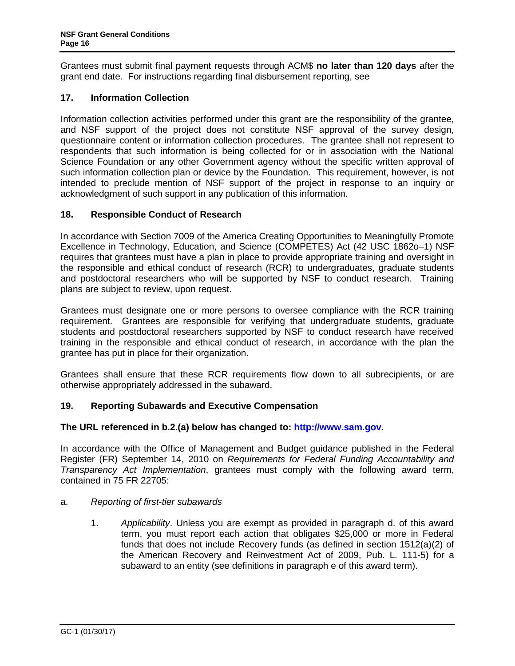<span id="page-15-0"></span>Grantees must submit final payment requests through ACM\$ **no later than 120 days** after the grant end date. For instructions regarding final disbursement reporting, see

# **17. Information Collection**

Information collection activities performed under this grant are the responsibility of the grantee, and NSF support of the project does not constitute NSF approval of the survey design, questionnaire content or information collection procedures. The grantee shall not represent to respondents that such information is being collected for or in association with the National Science Foundation or any other Government agency without the specific written approval of such information collection plan or device by the Foundation. This requirement, however, is not intended to preclude mention of NSF support of the project in response to an inquiry or acknowledgment of such support in any publication of this information.

# **18. Responsible Conduct of Research**

In accordance with Section 7009 of the America Creating Opportunities to Meaningfully Promote Excellence in Technology, Education, and Science (COMPETES) Act (42 USC 1862o–1) NSF requires that grantees must have a plan in place to provide appropriate training and oversight in the responsible and ethical conduct of research (RCR) to undergraduates, graduate students and postdoctoral researchers who will be supported by NSF to conduct research. Training plans are subject to review, upon request.

Grantees must designate one or more persons to oversee compliance with the RCR training requirement. Grantees are responsible for verifying that undergraduate students, graduate students and postdoctoral researchers supported by NSF to conduct research have received training in the responsible and ethical conduct of research, in accordance with the plan the grantee has put in place for their organization.

Grantees shall ensure that these RCR requirements flow down to all subrecipients, or are otherwise appropriately addressed in the subaward.

# **19. Reporting Subawards and Executive Co[mpensation](http://www.sam.gov/)**

#### **The URL referenced in b.2.(a) below has changed to: http://www.sam.gov.**

In accordance with the Office of Management and Budget guidance published in the Federal Register (FR) September 14, 2010 on *Requirements for Federal Funding Accountability and Transparency Act Implementation*, grantees must comply with the following award term, contained in 75 FR 22705:

#### a. *Reporting of first-tier subawards*

1. *Applicability*. Unless you are exempt as provided in paragraph d. of this award term, you must report each action that obligates \$25,000 or more in Federal funds that does not include Recovery funds (as defined in section 1512(a)(2) of the American Recovery and Reinvestment Act of 2009, Pub. L. 111-5) for a subaward to an entity (see definitions in paragraph e of this award term).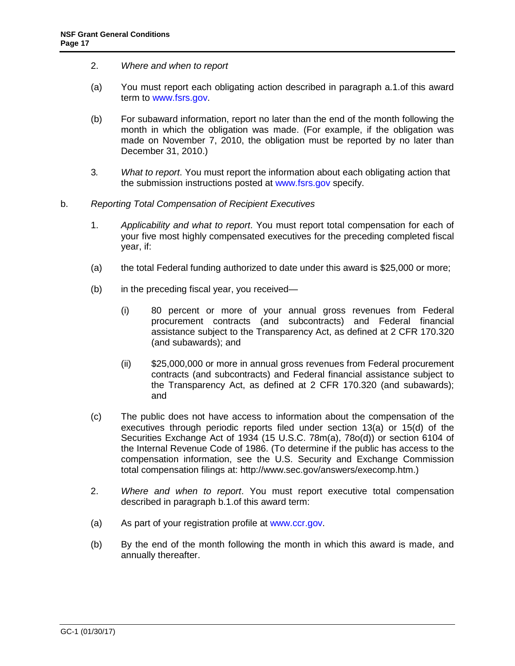- 2. *Where and when to report*
- [\(a\)](http://www.fsrs.gov/) You must report each obligating action described in paragraph a.1.of this award term to www.fsrs.gov.
- (b) For subaward information, report no later than the end of the month following the month in which the obligation was made. (For example, if the obligation was made on November 7, 2010, the obligation must be reported by no later than December 31, 201[0.\)](http://www.fsrs.gov/)
- 3*. What to report*. You must report the information about each obligating action that the submission instructions posted at www.fsrs.gov specify.
- b. *Reporting Total Compensation of Recipient Executives*
	- 1. *Applicability and what to report*. You must report total compensation for each of your five most highly compensated executives for the preceding completed fiscal year, if:
	- (a) the total Federal funding authorized to date under this award is \$25,000 or more;
	- (b) in the preceding fiscal year, you received—
		- (i) 80 percent or more of your annual gross revenues from Federal procurement contracts (and subcontracts) and Federal financial assistance subject to the Transparency Act, as defined at 2 CFR 170.320 (and subawards); and
		- (ii) \$25,000,000 or more in annual gross revenues from Federal procurement contracts (and subcontracts) and Federal financial assistance subject to the Transparency Act, as defined at 2 CFR 170.320 (and subawards); and
	- (c) The public does not have access to information about the compensation of the executives through periodic reports filed under section 13(a) or 15(d) of the Securities Exchange Act of 1934 (15 U.S.C. 78m(a), 78o(d)) or section 6104 of the Internal Revenue Code of 1986. (To determine if the public has access to the compensation information, see the U.S. Security and Exchange Commission total compensation filings at: [http://www.se](http://www.sam.gov/)c.gov/answers/execomp.htm.)
	- 2. *Where and when to report*. You must report executive total compensation described in paragraph b.1.of this award term:
	- (a) As part of your registration profile at www.ccr.gov.
	- (b) By the end of the month following the month in which this award is made, and annually thereafter.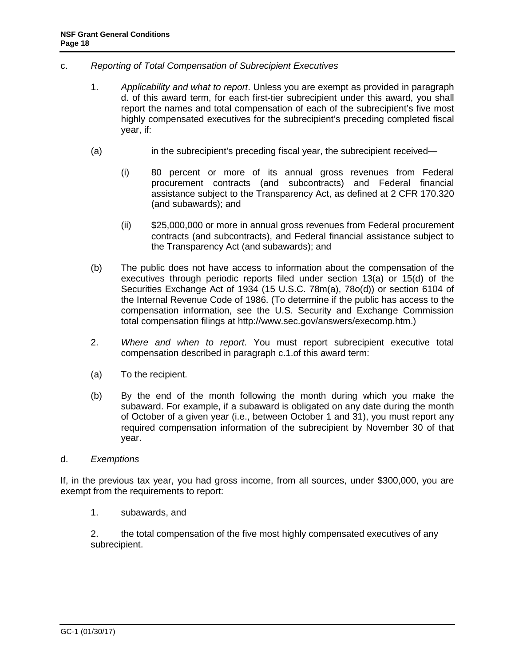- c. *Reporting of Total Compensation of Subrecipient Executives*
	- 1. *Applicability and what to report*. Unless you are exempt as provided in paragraph d. of this award term, for each first-tier subrecipient under this award, you shall report the names and total compensation of each of the subrecipient's five most highly compensated executives for the subrecipient's preceding completed fiscal year, if:
	- (a) in the subrecipient's preceding fiscal year, the subrecipient received—
		- (i) 80 percent or more of its annual gross revenues from Federal procurement contracts (and subcontracts) and Federal financial assistance subject to the Transparency Act, as defined at 2 CFR 170.320 (and subawards); and
		- (ii) \$25,000,000 or more in annual gross revenues from Federal procurement contracts (and subcontracts), and Federal financial assistance subject to the Transparency Act (and subawards); and
	- (b) The public does not have access to information about the compensation of the executives through periodic reports filed under section 13(a) or 15(d) of the Securities Exchange Act of 1934 (15 U.S.C. 78m(a), 78o(d)) or section 6104 of the Internal Revenue Code of 1986. (To determine if the public has access to the compensation information, see the U.S. Security and Exchange Commission total compensation filings at http://www.sec.gov/answers/execomp.htm.)
	- 2. *Where and when to report*. You must report subrecipient executive total compensation described in paragraph c.1.of this award term:
	- (a) To the recipient.
	- (b) By the end of the month following the month during which you make the subaward. For example, if a subaward is obligated on any date during the month of October of a given year (i.e., between October 1 and 31), you must report any required compensation information of the subrecipient by November 30 of that year.

#### d. *Exemptions*

If, in the previous tax year, you had gross income, from all sources, under \$300,000, you are exempt from the requirements to report:

1. subawards, and

2. the total compensation of the five most highly compensated executives of any subrecipient.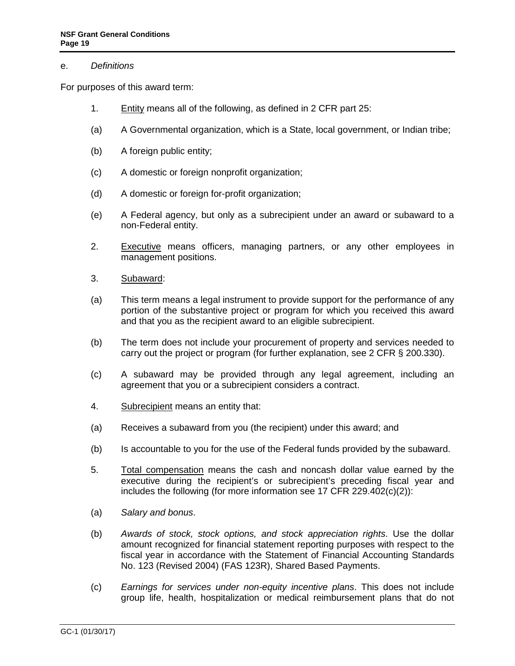#### e. *Definitions*

For purposes of this award term:

- 1. Entity means all of the following, as defined in 2 CFR part 25:
- (a) A Governmental organization, which is a State, local government, or Indian tribe;
- (b) A foreign public entity;
- (c) A domestic or foreign nonprofit organization;
- (d) A domestic or foreign for-profit organization;
- (e) A Federal agency, but only as a subrecipient under an award or subaward to a non-Federal entity.
- 2. Executive means officers, managing partners, or any other employees in management positions.
- 3. Subaward:
- (a) This term means a legal instrument to provide support for the performance of any portion of the substantive project or program for which you received this award and that you as the recipient award to an eligible subrecipient.
- (b) The term does not include your procurement of property and services needed to carry out the project or program (for further explanation, see 2 CFR § 200.330).
- (c) A subaward may be provided through any legal agreement, including an agreement that you or a subrecipient considers a contract.
- 4. Subrecipient means an entity that:
- (a) Receives a subaward from you (the recipient) under this award; and
- (b) Is accountable to you for the use of the Federal funds provided by the subaward.
- 5. Total compensation means the cash and noncash dollar value earned by the executive during the recipient's or subrecipient's preceding fiscal year and includes the following (for more information see 17 CFR 229.402(c)(2)):
- (a) *Salary and bonus*.
- (b) *Awards of stock, stock options, and stock appreciation rights*. Use the dollar amount recognized for financial statement reporting purposes with respect to the fiscal year in accordance with the Statement of Financial Accounting Standards No. 123 (Revised 2004) (FAS 123R), Shared Based Payments.
- (c) *Earnings for services under non-equity incentive plans*. This does not include group life, health, hospitalization or medical reimbursement plans that do not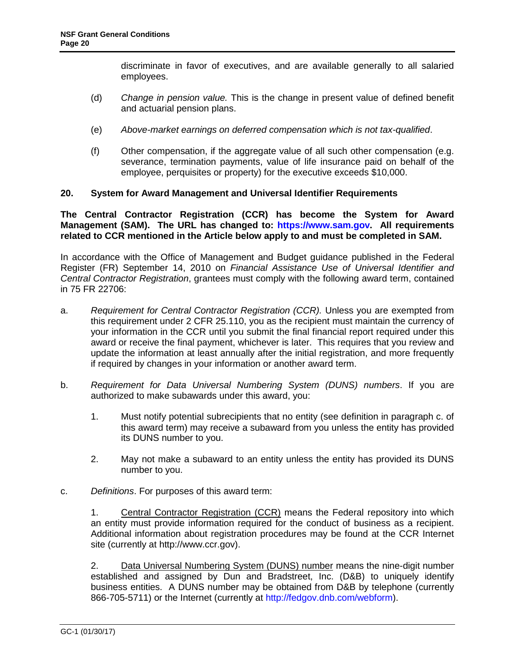discriminate in favor of executives, and are available generally to all salaried employees.

- <span id="page-19-0"></span>(d) *Change in pension value.* This is the [change in present valu](https://www.sam.gov/)e of defined benefit and actuarial pension plans.
- (e) *Above-market earnings on deferred compensation which is not tax-qualified*.
- (f) Other compensation, if the aggregate value of all such other compensation (e.g. severance, termination payments, value of life insurance paid on behalf of the employee, perquisites or property) for the executive exceeds \$10,000.

#### **20. System for Award Management and Universal Identifier Requirements**

**The Central Contractor Registration (CCR) has become the System for Award Management (SAM). The URL has changed to: https://www.sam.gov. All requirements related to CCR mentioned in the Article below apply to and must be completed in SAM.** 

In accordance with the Office of Management and Budget guidance published in the Federal Register (FR) September 14, 2010 on *Financial Assistance Use of Universal Identifier and Central Contractor Registration*, grantees must comply with the following award term, contained in 75 FR 22706:

- a. *Requirement for Central Contractor Registration (CCR).* Unless you are exempted from this requirement under 2 CFR 25.110, you as the recipient must maintain the currency of your information in the CCR until you submit the final financial report required under this award or receive the final payment, whichever is later. This requires that you review and update the information at least annually after the initial registration, and more frequently if required by changes in your information or another award term.
- b. *Requirement for Data Universal Numbering System (DUNS) numbers*. If you are authorized to make subawards under this award, you:
	- 1. Must notify potential subrecipients that no entity (see definition in paragraph c. of this award term) may receive a subaward from you unless the entity has provided its DUNS number to you.
	- 2. May not make a subaward to an entity unless the entity has provided its DUNS number t[o you.](http://fedgov.dnb.com/webform)
- c. *Definitions*. For purposes of this award term:

1. Central Contractor Registration (CCR) means the Federal repository into which an entity must provide information required for the conduct of business as a recipient. Additional information about registration procedures may be found at the CCR Internet site (currently at http://www.ccr.gov).

2. Data Universal Numbering System (DUNS) number means the nine-digit number established and assigned by Dun and Bradstreet, Inc. (D&B) to uniquely identify business entities. A DUNS number may be obtained from D&B by telephone (currently 866-705-5711) or the Internet (currently at http://fedgov.dnb.com/webform).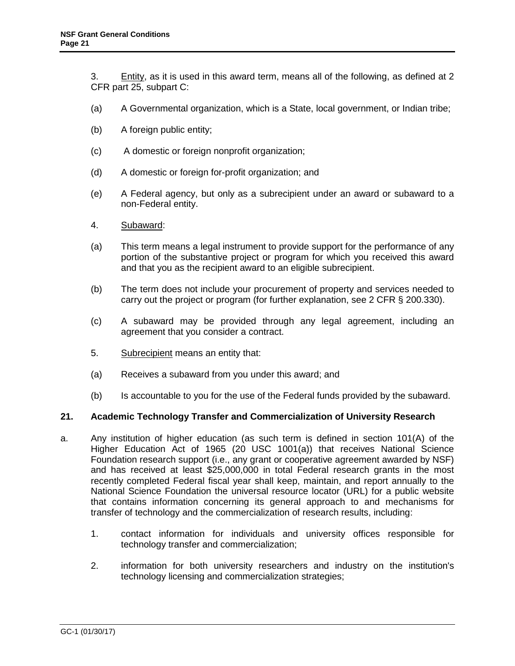<span id="page-20-0"></span>3. Entity, as it is used in this award term, means all of the following, as defined at 2 CFR part 25, subpart C:

- (a) A Governmental organization, which is a State, local government, or Indian tribe;
- (b) A foreign public entity;
- (c) A domestic or foreign nonprofit organization;
- (d) A domestic or foreign for-profit organization; and
- (e) A Federal agency, but only as a subrecipient under an award or subaward to a non-Federal entity.
- 4. Subaward:
- (a) This term means a legal instrument to provide support for the performance of any portion of the substantive project or program for which you received this award and that you as the recipient award to an eligible subrecipient.
- (b) The term does not include your procurement of property and services needed to carry out the project or program (for further explanation, see 2 CFR § 200.330).
- (c) A subaward may be provided through any legal agreement, including an agreement that you consider a contract.
- 5. Subrecipient means an entity that:
- (a) Receives a subaward from you under this award; and
- (b) Is accountable to you for the use of the Federal funds provided by the subaward.

### **21. Academic Technology Transfer and Commercialization of University Research**

- a. Any institution of higher education (as such term is defined in section 101(A) of the Higher Education Act of 1965 (20 USC 1001(a)) that receives National Science Foundation research support (i.e., any grant or cooperative agreement awarded by NSF) and has received at least \$25,000,000 in total Federal research grants in the most recently completed Federal fiscal year shall keep, maintain, and report annually to the National Science Foundation the universal resource locator (URL) for a public website that contains information concerning its general approach to and mechanisms for transfer of technology and the commercialization of research results, including:
	- 1. contact information for individuals and university offices responsible for technology transfer and commercialization;
	- 2. information for both university researchers and industry on the institution's technology licensing and commercialization strategies;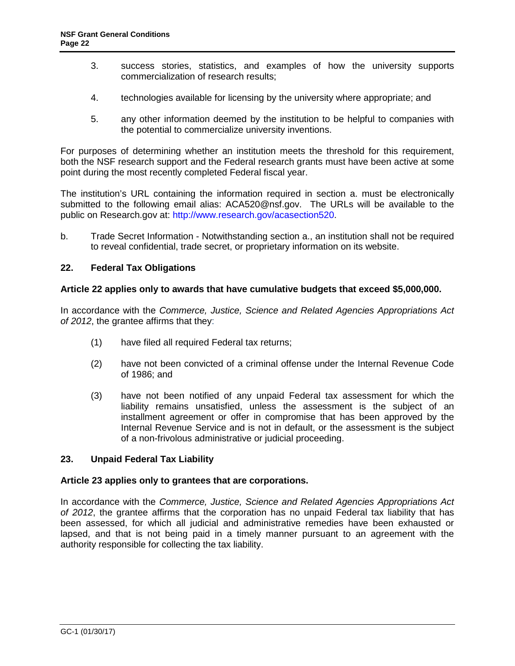- <span id="page-21-1"></span>3. success stories, statistics, and examples of how the university supports commerciali[zation of research results;](http://www.research.gov/acasection520)
- 4. technologies available for licensing by the university where appropriate; and
- 5. any other information deemed by the institution to be helpful to companies with the potential to commercialize university inventions.

For purposes of determining whether an institution meets the threshold for this requirement, both the NSF research support and the Federal research grants must have been active at some point during the most recently completed Federal fiscal year.

The institution's URL containing the information required in section a. must be electronically submitted to the following email alias: ACA520@nsf.gov. The URLs will be available to the public on Research.gov at: http://www.research.gov/acasection520.

b. Trade Secret Information - Notwithstanding section a., an institution shall not be required to reveal confidential, trade secret, or proprietary information on its website.

# **22. Federal Tax Obligations**

#### **Article 22 applies only to awards that have cumulative budgets that exceed \$5,000,000.**

In accordance with the *Commerce, Justice, Science and Related Agencies Appropriations Act of 2012*, the grantee affirms that they:

- (1) have filed all required Federal tax returns;
- (2) have not been convicted of a criminal offense under the Internal Revenue Code of 1986; and
- (3) have not been notified of any unpaid Federal tax assessment for which the liability remains unsatisfied, unless the assessment is the subject of an installment agreement or offer in compromise that has been approved by the Internal Revenue Service and is not in default, or the assessment is the subject of a non-frivolous administrative or judicial proceeding.

# **23. Unpaid Federal Tax Liability**

#### **Article 23 applies only to grantees that are corporations.**

<span id="page-21-0"></span>In accordance with the *Commerce, Justice, Science and Related Agencies Appropriations Act of 2012*, the grantee affirms that the corporation has no unpaid Federal tax liability that has been assessed, for which all judicial and administrative remedies have been exhausted or lapsed, and that is not being paid in a timely manner pursuant to an agreement with the authority responsible for collecting the tax liability.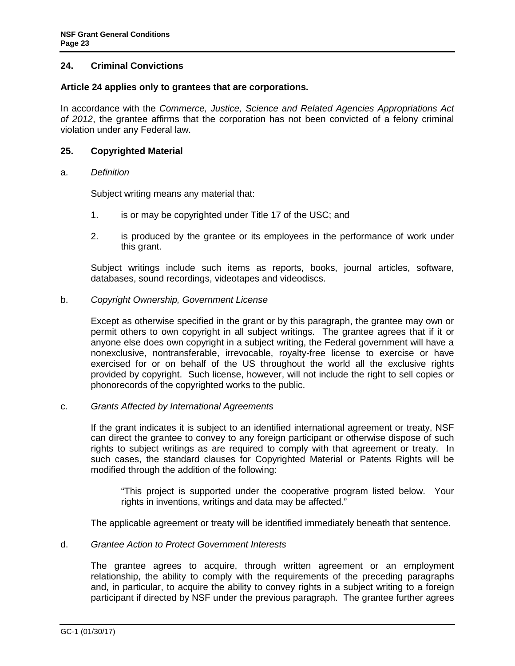### <span id="page-22-0"></span>**24. Criminal Convictions**

#### **Article 24 applies only to grantees that are corporations.**

In accordance with the *Commerce, Justice, Science and Related Agencies Appropriations Act of 2012*, the grantee affirms that the corporation has not been convicted of a felony criminal violation under any Federal law.

#### **25. Copyrighted Material**

#### a. *Definition*

Subject writing means any material that:

- 1. is or may be copyrighted under Title 17 of the USC; and
- 2. is produced by the grantee or its employees in the performance of work under this grant.

Subject writings include such items as reports, books, journal articles, software, databases, sound recordings, videotapes and videodiscs.

b. *Copyright Ownership, Government License*

Except as otherwise specified in the grant or by this paragraph, the grantee may own or permit others to own copyright in all subject writings. The grantee agrees that if it or anyone else does own copyright in a subject writing, the Federal government will have a nonexclusive, nontransferable, irrevocable, royalty-free license to exercise or have exercised for or on behalf of the US throughout the world all the exclusive rights provided by copyright. Such license, however, will not include the right to sell copies or phonorecords of the copyrighted works to the public.

#### c. *Grants Affected by International Agreements*

If the grant indicates it is subject to an identified international agreement or treaty, NSF can direct the grantee to convey to any foreign participant or otherwise dispose of such rights to subject writings as are required to comply with that agreement or treaty. In such cases, the standard clauses for Copyrighted Material or Patents Rights will be modified through the addition of the following:

"Th[is project is supported under the cooperative program](http://www.nsf.gov/news/special_reports/public_access/) listed below. Your rights in inventions, writings and data may be affected."

The applicable agreement or treaty will be identified immediately beneath that sentence.

#### d. *Grantee Action to Protect Government Interests*

The grantee agrees to acquire, through written agreement or an employment relationship, the ability to comply with the requirements of the preceding paragraphs and, in particular, to acquire the ability to convey rights in a subject writing to a foreign participant if directed by NSF under the previous paragraph. The grantee further agrees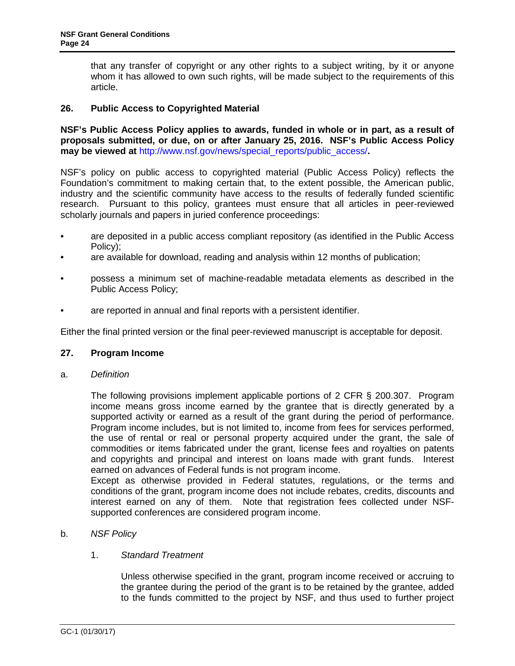that any transfer of copyright or any other rights to a subject writing, by it or anyone whom it has allowed to own such rights, will be made subject to the requirements of this article.

### **26. Public Access to Copyrighted Material**

**NSF's Public Access Policy applies to awards, funded in whole or in part, as a result of proposals submitted, or due, on or after January 25, 2016. NSF's Public Access Policy may be viewed at** http://www.nsf.gov/news/special\_reports/public\_access/**.** 

<span id="page-23-0"></span>NSF's policy on public access to copyrighted material (Public Access Policy) reflects the Foundation's commitment to making certain that, to the extent possible, the American public, industry and the scientific community have access to the results of federally funded scientific research. Pursuant to this policy, grantees must ensure that all articles in peer-reviewed scholarly journals and papers in juried conference proceedings:

- are deposited in a public access compliant repository (as identified in the Public Access Policy);
- are available for download, reading and analysis within 12 months of publication;
- possess a minimum set of machine-readable metadata elements as described in the Public Access Policy;
- are reported in annual and final reports with a persistent identifier.

Either the final printed version or the final peer-reviewed manuscript is acceptable for deposit.

#### **27. Program Income**

a. *Definition*

The following provisions implement applicable portions of 2 CFR § 200.307. Program income means gross income earned by the grantee that is directly generated by a supported activity or earned as a result of the grant during the period of performance. Program income includes, but is not limited to, income from fees for services performed, the use of rental or real or personal property acquired under the grant, the sale of commodities or items fabricated under the grant, license fees and royalties on [patents](https://www.nsf.gov/pubs/policydocs/pappg17_1/pappg_8.jsp#VIIID4)  [and copyrights a](https://www.nsf.gov/pubs/policydocs/pappg17_1/pappg_8.jsp#VIIID4)nd principal and interest on loans made with grant fund[s. Interest](https://cfo.gov/wp-content/uploads/2015/09/9.9.15-Frequently-Asked-Questions.pdf)  earned on advances of Federal funds is not program income.

[Except as otherwise provided in Federal statutes, regulations, or the terms and](https://cfo.gov/wp-content/uploads/2015/09/9.9.15-Frequently-Asked-Questions.pdf)  [conditions of the grant, program income does not include rebates, credits, discounts and](https://cfo.gov/wp-content/uploads/2015/09/9.9.15-Frequently-Asked-Questions.pdf)  [inter](https://cfo.gov/wp-content/uploads/2015/09/9.9.15-Frequently-Asked-Questions.pdf)est earned on any of them. Note that registration fees collected under NSFsupported conferences are considered program income.

b. *NSF Policy*

# 1. *Standard Treatment*

Unless otherwise specified in the grant, program income received or accruing to the grantee during the period of the grant is to be retained by the grantee, added to the funds committed to the project by NSF, and thus used to further project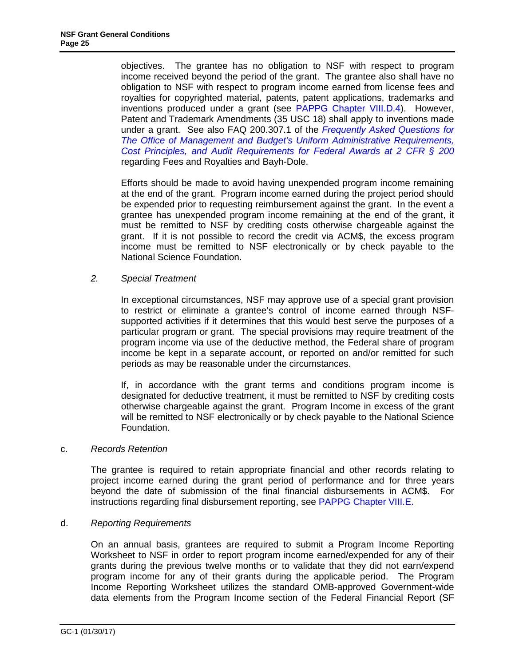objectives. The grantee has no obligation to NSF with respect to program income received beyond the period of the grant. The grantee also shall have no obligation to NSF with respect to program income earned from license fees and royalties for copyrighted material, patents, patent applications, trademarks and inventions produced under a grant (see PAPPG Chapter VIII.D.4). However, Patent and Trademark Amendments (35 USC 18) shall apply to inventions made under a grant. See also FAQ 200.307.1 of the *Frequently Asked Questions for The Office of Management and Budget's Uniform Administrative Requirements, Cost Principles, and Audit Requirements for Federal Awards at 2 CFR § 200* regarding Fees and Royalties and Bayh-Dole.

Efforts should be made to avoid having unexpended program income remaining at the end of the grant. Program income earned during the project period should be expended prior to requesting reimbursement against the grant. In the event a grantee has unexpended program income remaining at the end of the grant, it must be remitted to NSF by crediting costs otherwise chargeable against the grant. If it is not possible to record the credit via ACM\$, the excess program income must be remitted to NSF electronically or by check payable to the National Science Foundation.

# *2. Special Treatment*

In exceptional circumstances, NSF may approv[e use of a special grant provision](https://www.nsf.gov/pubs/policydocs/pappg17_1/pappg_8.jsp#VIIIE)  to restrict or eliminate a grantee's control of income earned through NSFsupported activities if it determines that this would best serve the purposes of a particular program or grant. The special provisions may require treatment of the program income via use of the deductive method, the Federal share of program income be kept in a separate account, or reported on and/or remitted for such periods as may be reasonable under the circumstances.

If, in accordance with the grant terms and conditions program income is designated for deductive treatment, it must be remitted to NSF by crediting costs otherwise chargeable against the grant. Program Income in excess of the grant [will be remitted to NSF electr](http://research.gov/programincome)onically or by check payable to the National Science Foundation.

# <span id="page-24-0"></span>c. *Records Retention*

<span id="page-24-1"></span>The grantee is required to retain appropriate financial and other records relating to project income earned during the grant period of performance and for three years beyond the date of submission of the final financial disbursements in ACM\$. For instructions regarding final disbursement reporting, see PAPPG Chapter VIII.E.

# d. *Reporting Requirements*

On an annual basis, grantees are required to submit a Program Income Reporting Worksheet to NSF in order to report program income earned/expended for any of their grants during the previous twelve months or to validate that they did not earn/expend program income for any of their grants during the applicable period. The Program Income Reporting Worksheet utilizes the standard OMB-approved Government-wide data elements from the Program Income section of the Federal Financial Report (SF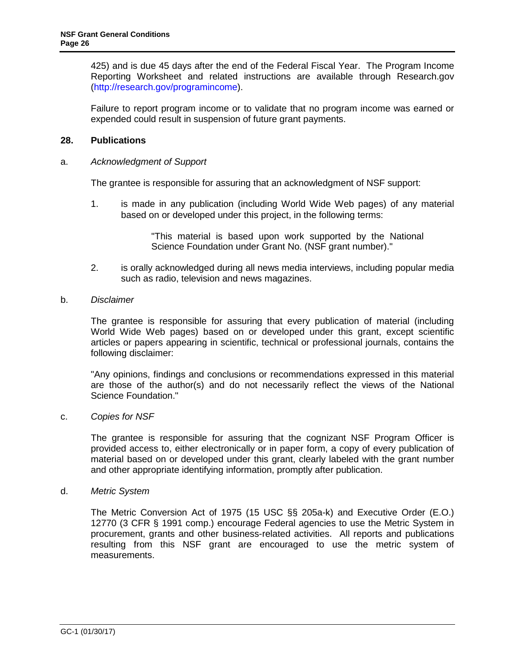<span id="page-25-0"></span>425) and is due 45 days after the end of the Federal Fiscal Year. The Program Income Reporting Worksheet and related instructions are available through Research.gov (http://research.gov/programincome).

Failure to report program income or to validate that no program income was earned or expended could result in suspension of future grant payments.

### **28. Publications**

### <span id="page-25-1"></span>a. *Acknowledgment of Support*

The grantee is responsible for assuring that an acknowledgment of NSF support:

1. is made in any publication (including World Wide Web pages) of any material based on or developed under this project, in the following terms:

> "This material is based upon work supported by the National Science Foundation under Grant No. (NSF grant number)."

<span id="page-25-2"></span>2. is orally acknowledged during all news media interviews, including popular media such as radio, television and news magazines.

#### <span id="page-25-3"></span>b. *Disclaimer*

The grantee i[s](#page-25-4) responsible for assuring that every publication of material (including World Wide Web pages) based on or developed under this grant, except scientific articles or papers appearing in scientific, technical or professio[nal journals, contains th](http://uscode.house.gov/download/pls/35T.txt)e following disclaimer:

"Any opinions, findings and conclusions or recommendations expressed in this material are those of the author(s) and do not necessarily reflect the views of the National Science Foundation."

#### c. *Copies for NSF*

[The grantee is res](http://www.access.gpo.gov/uscode/title7/chapter57_.html)ponsible for assuring that the cognizant NSF Program Officer is provided access to, either electronically or in paper form, a copy of every publication of material based on or developed under this grant, clearly labeled with the grant number and other appropriate identifying information, promptly after publication.

#### <span id="page-25-4"></span>d. *Metric System*

The Metric Conversion Act of 1975 (15 USC §§ 205a-k) and Executive Order (E.O.) 12770 (3 CFR § 1991 comp.) encourage Federal agencies to use the Metric System in procurement, grants and other business-related activities. All reports and publications resulting from this NSF grant are encouraged to use the metric system of measurements.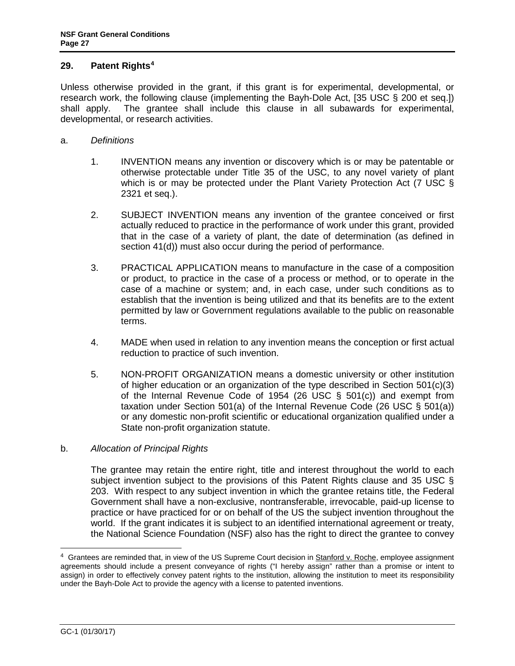### **29. Patent Rights4**

Unless otherwise provided in the grant, if this grant is for experimental, developmental, or research work, the following clause (implementing the Bayh-Dole Act, [35 USC § 200 et seq.]) shall apply. The grantee shall include this clause in all subawards for experimental, developmental, or research activities.

- a. *Definitions*
	- 1. INVENTION means any invention or discovery which is or may be patentable or otherwise protectable under Title 35 of the USC, to any novel variety of plant which is or may be protected under the [Plant Variety Protec](http://frwebgate.access.gpo.gov/cgi-bin/getdoc.cgi?dbname=browse_usc&docid=Cite:+26USC501)tion Act (7 USC § 2321 et seq.).
	- 2. SUBJECT INVENTION means any invention of the grantee conceived or first actually reduced to practice in the performance of work under this grant, provided that in the case of a variety of plant, the date of determination (as defined in section 41(d)) must also occur during the period of performance.
	- [3.](http://frwebgate.access.gpo.gov/cgi-bin/getdoc.cgi?dbname=browse_usc&docid=Cite:+35USC203) PRACTICAL APPLICATION means to manufacture in the case of a c[omposition](http://frwebgate.access.gpo.gov/cgi-bin/getdoc.cgi?dbname=browse_usc&docid=Cite:+35USC203)  or product, to practice in the case of a process or method, or to operate in the case of a machine or system; and, in each case, under such conditions as to establish that the invention is being utilized and that its benefits are to the extent permitted by law or Government regulations available to the public on reasonable terms.
	- 4. MADE when used in relation to any invention means the conception or first actual reduction to practice of such invention.
	- 5. NON-PROFIT ORGANIZATION means a domestic university or other institution of higher education or an organization of the type described in Section  $501(c)(3)$ of the Internal Revenue Code of 1954 (26 USC § 501(c)) and exempt from taxation under Section 501(a) of the Internal Revenue Code (26 USC  $\S$  501(a)) or any domestic non-profit scientific or educational organization qualified under a State non-profit organization statute.
- b. *Allocation of Principal Rights*

The grantee may retain the entire right, title and interest throughout the world to each subject invention subject to the provisions of this Patent Rights clause and 35 USC § 203. With respect to any subject invention in which the grantee retains title, the Federal Government shall have a non-exclusive, nontransferable, irrevocable, paid-up license to practice or have practiced for or on behalf of the US the subject invention throughout the world. If the grant indicates it is subject to an identified international agreement or treaty, the National Science Foundation (NSF) also has the right to direct the grantee to convey

 $\ddot{\phantom{a}}$ 

<sup>4</sup> Grantees are reminded that, in view of the US Supreme Court decision in Stanford v. Roche, employee assignment agreements should include a present conveyance of rights ("I hereby assign" rather than a promise or intent to assign) in order to effectively convey patent rights to the institution, allowing the institution to meet its responsibility under the Bayh-Dole Act to provide the agency with a license to patented inventions.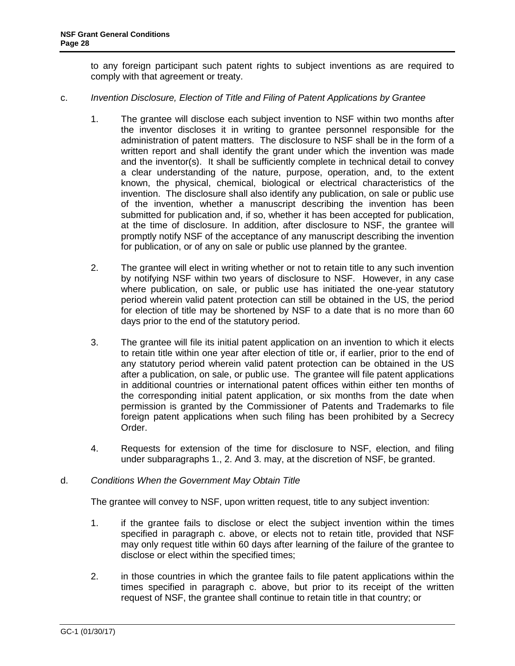to any foreign participant such patent rights to subject inventions as are required to comply with that agreement or treaty.

- c. *Invention Disclosure, Election of Title and Filing of Patent Applications by Grantee*
	- 1. The grantee will disclose each subject invention to NSF within two months after the inventor discloses it in writing to grantee personnel responsible for the administration of patent matters. The disclosure to NSF shall be in the form of a written report and shall identify the grant under which the invention was made and the inventor(s). It shall be sufficiently complete in technical detail to convey a clear understanding of the nature, purpose, operation, and, to the extent known, the physical, chemical, biological or electrical characteristics of the invention. The disclosure shall also identify any publication, on sale or public use of the invention, whether a manuscript describing the invention has been submitted for publication and, if so, whether it has been accepted for publication, at the time of disclosure. In addition, after disclosure to NSF, the grantee will promptly notify NSF of the acceptance of any manuscript describing the invention for publication, or of any on sale or public use planned by the grantee.
	- 2. The grantee will elect in writing whether or not to retain title to any such invention by notifying NSF within two years of disclosure to NSF. However, in any case where publication, on sale, or public use has initiated the one-year statutory period wherein valid patent protection can still be obtained in the US, the period for election of title may be shortened by NSF to a date that is no more than 60 days prior to the end of the statutory period.
	- 3. The grantee will file its initial patent application on an invention to which it elects to retain title within one year after election of title or, if earlier, prior to the end of any statutory period wherein valid patent protection can be obtained in the US after a publication, on sale, or public use. The grantee will file patent applications in additional countries or international patent offices within either ten months of the corresponding initial patent application, or six months from the date when permission is granted by the Commissioner of Patents and Trademarks to file foreign patent applications when such filing has been prohibited by a Secrecy Order.
	- 4. Requests for extension of the time for disclosure to NSF, election, and filing under subparagraphs 1., 2. And 3. may, at the discretion of NSF, be granted.

# d. *Conditions When the Government May Obtain Title*

The grantee will convey to NSF, upon written request, title to any subject invention:

- 1. if the grantee fails to [disclose or elect](http://www.access.gpo.gov/nara/cfr/waisidx_06/37cfr404_06.html) the subject invention within the times specified in paragraph c. above, or elects not to retain title, provided that NSF may only request title within 60 days after learning of the failure of the grantee to disclose or elect within the specified times;
- 2. in those countries in which the grantee fails to file patent applications within the times specified in paragraph c. above, but prior to its receipt of the written request of NSF, the grantee shall continue to retain title in that country; or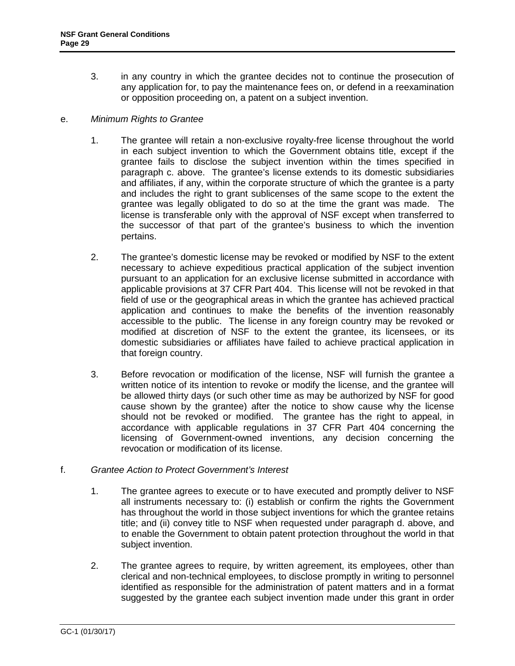3. in any country in which the grantee decides not to continue the prosecution of any application for, to pay the maintenance fees on, or defend in a reexamination or opposition proceeding on, a patent on a subject invention.

### e. *Minimum Rights to Grantee*

- 1. The grantee will retain a non-exclusive royalty-free license throughout the world in each subject invention to which the Government obtains title, except if the grantee fails to disclose the subject invention within the times specified in paragraph c. above. The grantee's license extends to its domestic subsidiaries and affiliates, if any, within the corporate structure of which the grantee is a party and includes the right to grant sublicenses of the same scope to the extent the grantee was legally obligated to do so at the time the grant was made. The license is transferable only with the approval of NSF except when transferred to the successor of that part of the grantee's business to which the invention pertains.
- 2. The grantee's domestic license may be revoked or modified by NSF to the extent necessary to achieve expeditious practical application of the subject invention pursuant to an application for an exclusive license submitted in accordance with applicable provisions at 37 CFR Part 404. This license will not be revoked in that field of use or the geographical areas in which the grantee has achieved practical application and continues to make the benefits of the invention reasonably accessible to the public. The license in any foreign country may be revoked or modified at discretion of NSF to the extent the grantee, its licensees, or its domestic subsidiaries or affiliates have failed to achieve practical application in that foreign country.
- 3. Before revocation or modification of the license, NSF will furnish the grantee a written notice of its intention to revoke or modify the license, and the grantee will be allowed thirty days (or such other time as may be authorized by NSF for good cause shown by the grantee) after the notice to show cause why the license should not be revoked or modified. The grantee has the right to appeal, in accordance with applicable regulations in 37 CFR Part 404 concerning the licensing of Government-owned inventions, any decision concerning the revocation or modification of its license.

# f. *Grantee Action to Protect Government's Interest*

- 1. The grantee agrees to execute or to have executed and promptly deliver to NSF all instruments necessary to: (i) establish or confirm the rights the Government has throughout the world in those subject inventions for which the grantee retains title; and (ii) convey title to NSF when requested under paragraph d. above, and to enable the Government to obtain patent protection throughout the world in that subject invention.
- 2. The grantee agrees to require, by written agreement, its employees, other than clerical and non-technical employees, to disclose promptly in writing to personnel identified as responsible for the administration of patent matters and in a format suggested by the grantee each subject invention made under this grant in order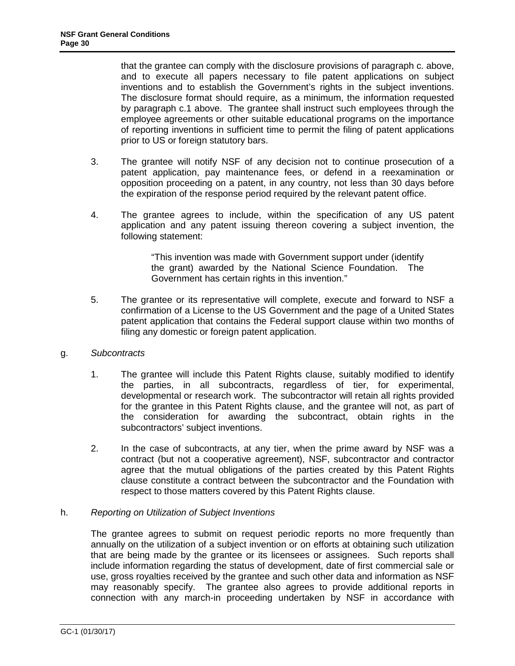that the grantee can comply with the disclosure provisions of paragraph c. above, and to execute all papers necessary to file patent applications on subject inventions and to establish the Government's rights in the subject inventions. The disclosure format should require, as a minimum, the information requested by paragraph c.1 above. The grantee shall instruct such employees through the employee agreements or other suitable educational programs on the importance of reporting inventions in sufficient time to permit the filing of patent applications prior to US or foreign statutory bars.

- 3. The grantee will notify NSF of any decision not to continue prosecution of a patent application, pay maintenance fees, or defend in a reexamination or opposition proceeding on a patent, in any country, not less than 30 days before the expiration of the response period required by the relevant patent office.
- 4. The grantee agrees to include, within the specification of any US patent application and any patent issuing thereon covering a subject invention, the following statement:

"This invention was made with Government support under (identify the grant) awarded by the National Science Foundation. The Government has certain rights in this invention."

- 5. The grantee or its representative will complete, execute and forward to NSF a confirmation of a License to the US Government and [the page of a United S](http://frwebgate.access.gpo.gov/cgi-bin/getdoc.cgi?dbname=browse_usc&docid=Cite:+35USC202)tates patent application that contains the Federal support clause within two months of filing any domestic or foreign patent application.
- g. *Subcontracts*
	- 1. The grantee will include this Patent Rights clause, suitably modified to identify the parties, in all subcontracts, regardless of tier, for experimental, developmental or research work. The subcontractor will retain all rights provided for the grantee in this Patent Rights clause, and the grantee will not, as part of the consideration for awarding the subcontract, obtain rights in the subcontractors' subject inventions.
	- 2. In the case of subcontracts, at any tier, when the prime award by NSF was a contract (but not a cooperative agreement), NSF, subcontractor and contractor agree that the mutual obligations of the parties created by this Patent Rights clause constitute a contract between the subcontractor and the Foundation with respect to those matters covered by this Patent Rights clause.

# h. *Reporting on [Utilization of Subje](http://a257.g.akamaitech.net/7/257/2422/13nov20061500/edocket.access.gpo.gov/cfr_2006/octqtr/pdf/45cfr650.13.pdf)ct Inventions*

The grantee agrees to submit on request periodic reports no more frequently than annually on the utilization of a subject invention or on efforts at obtaining such utilization that are being made by the grantee or its licensees or assignees. Such reports shall include information regarding the status of development, date of first commercial sale or use, gross royalties received by the grantee and such other data and information as NSF may reasonably specify. The grantee also agrees to provide additional reports in connection with any march-in proceeding undertaken by NSF in accordance with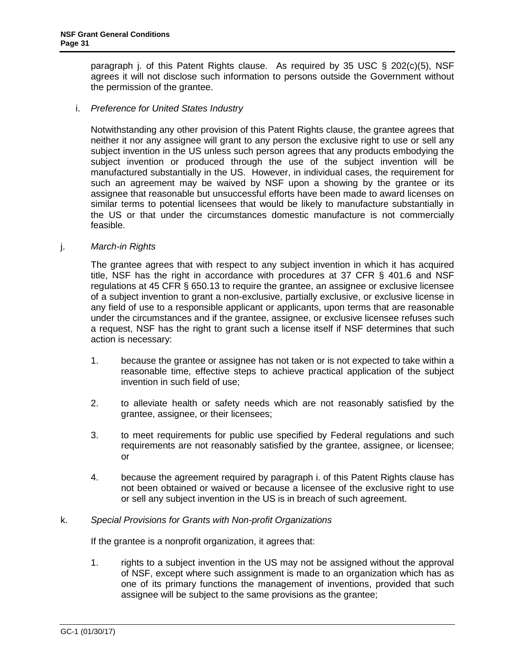paragraph j. of this Patent Rights clause. As required by 35 USC § 202(c)(5), NSF agrees it will not disclose such information to persons outside the Government without the permission of the grantee.

### i. *Preference for United States Industry*

Notwithstanding any other provision of this Patent Rights clause, the grantee agrees that neither it nor any assignee will grant to any person the exclusive right to use or sell any subject invention in the US unless such person agrees that any products embodying the subject invention or produced through the use of the subject invention will be manufactured substantially in the US. However, in individual cases, the requirement for such an agreement may be waived by NSF upon a showing by the grantee or its assignee that reasonable but unsuccessful efforts have been made to award licenses on similar terms to potential licensees that would be likely to manufacture substantially in the US or that under the circumstances domestic manufacture is not commercially feasible.

#### j. *March-in Rights*

The grantee agrees that with respect to any subject invention in which it has acquired title, NSF has the right in accordance with procedures at 37 CFR § 401.6 and NSF regulations at 45 CFR § 650.13 to require the grantee, an assignee or exclusive licensee of a subject invention to grant a non-exclusive, partially exclusive, or exclusive license in any field of use to a responsible applicant or applicants, upon terms that are reasonable under the circumstances and if the grantee, assignee, or excl[usive licensee refus](http://frwebgate.access.gpo.gov/cgi-bin/getdoc.cgi?dbname=browse_usc&docid=Cite:+35USC202)es s[uch](http://a257.g.akamaitech.net/7/257/2422/13nov20061500/edocket.access.gpo.gov/cfr_2006/julqtr/pdf/37cfr401.10.pdf)  a request, NSF has the right to grant such a license itself if NSF determines that such [action is necessary:](http://a257.g.akamaitech.net/7/257/2422/13nov20061500/edocket.access.gpo.gov/cfr_2006/julqtr/pdf/37cfr401.10.pdf) 

- 1. because the grantee or assignee has not taken or is not expected to take within a reasonable time, effective steps to achieve practical application of the subject invention in such field of use;
- 2. to alleviate health or safety needs which are not reasonably satisfied by the grantee, assignee, or their licensees;
- 3. to meet requirements for public use specified by Federal regulations and such requirements are not reasonably satisfied by the grantee, assignee, or licensee; or
- 4. because the agreement required by paragraph i. of this Patent Rights clause has not been obtained or waived or because a licensee of the exclusive right to use or sell any subject invention in the US is in breach of such agreement.

#### k. *Special Provisions for Grants with Non-profit Organizations*

If the grantee is a nonprofit organization, it agrees that:

1. rights to a subject invention in the US may not be assigned without the approval of NSF, except where such assignment is made to an organization which has as one of its primary functions the management of inventions, provided that such [assignee will be subject to the same provisio](https://public.era.nih.gov/iedison/public/login.do?TYPE=33554433&REALMOID=06-dc4d00e8-1464-45e1-937f-0525407c30fd&GUID=&SMAUTHREASON=0&METHOD=GET&SMAGENTNAME=-SM-938PYmoLVb4VrDeXo04LZUDVDvc%2b3899ByInEAjuSUvWNIGfB2zRpWiCivYGCogG&TARGET=-SM-http%3a%2f%2fpublic%2eera%2enih%2egov%2fiEdison)ns as the grantee;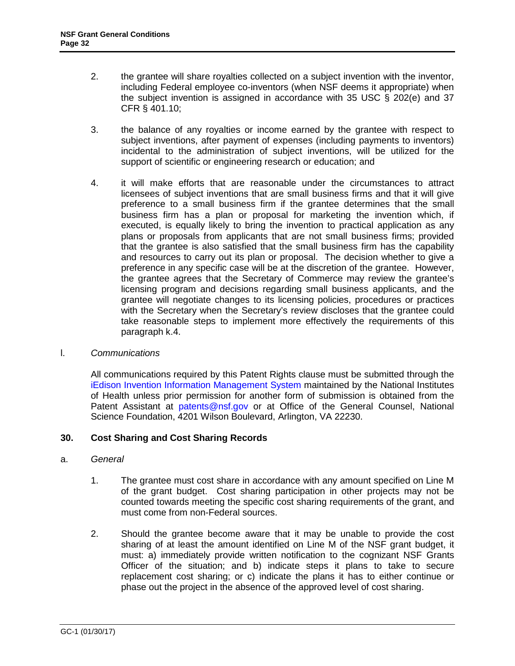- 2. the grantee [will share royalties](mailto:patents@nsf.gov) collected on a subject invention with the inventor, including Federal employee co-inventors (when NSF deems it appropriate) when the subject invention is assigned in accordance with 35 USC § 202(e) and 37 CFR § 401.10;
- <span id="page-31-0"></span>3. the balance of any royalties or income earned by the grantee with respect to subject inventions, after payment of expenses (including payments to inventors) incidental to the administration of subject inventions, will be utilized for the support of scientific or engineering research or education; and
- 4. it will make efforts that are reasonable under the circumstances to attract licensees of subject inventions that are small business firms and that it will give preference to a small business firm if the grantee determines that the small business firm has a plan or proposal for marketing the invention which, if executed, is equally likely to bring the invention to practical application as any plans or proposals from applicants that are not small business firms; provided that the grantee is also satisfied that the small business firm has the capability and resources to carry out its plan or proposal. The decision whether to give a preference in any specific case will be at the discretion of the grantee. However, the grantee agrees that the Secretary of Commerce may review the grantee's licensing program and decisions regarding small business applicants, and the grantee will negotiate changes to its licensing policies, procedures or practices with the Secretary when the Secretary's review discloses that the grantee could take reasonable steps to implement more effectively the requirements of this paragraph k.4.

#### l. *Communications*

All communications required by this Patent Rights clause must be submitted through the iEdison Invention Information Management System maintained by the National Institutes of Health unless prior permission for another form of submission is obtained from the Patent Assistant at patents@nsf.gov or at Office of the General Counsel, National Science Foundation, 4201 Wilson Boulevard, Arlington, VA 22230.

#### **30. Cost Sharing and [Cost Sharing R](http://a257.g.akamaitech.net/7/257/2422/15mar20071500/edocket.access.gpo.gov/cfr_2007/janqtr/pdf/2cfr215.23.pdf)ecords**

#### a. *General*

- 1. The grantee must cost share in accordance with any amount specified on Line M of the grant budget. Cost sharing participation in other projects may not be counted towards meeting the specific cost sharing requirements of the grant, and must come from non-Federal sources.
- 2. Should the grantee become aware that it may be unable to provide the cost sharing of at least the amount identified on Line M of the NSF grant budget, it must: a) immediately provide written notification to the cognizant NSF Grants Officer of the situation; and b) indicate steps it plans to take to secure replacement cost sharing; or c) indicate the plans it has to either continue or phase out the project in the absence of the approved level of cost sharing.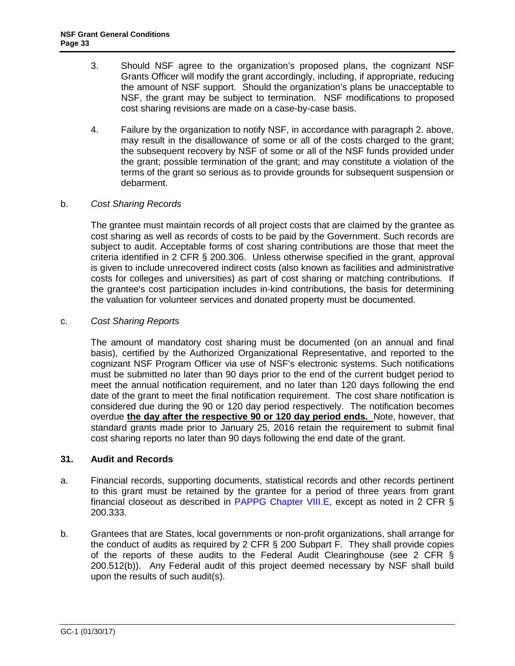- 3. Should NSF agree to the organization's proposed plans, the cognizant NSF Grants Officer will modify the grant accordingly, including, if appropriate, reducing the amount of NSF support. Should the organization's plans be unacceptable to NSF, the grant may be subject to termination. NSF modifications to proposed cost sharing revisions are made on a case-by-case basis.
- 4. Failure by the organization to notify NSF, in accordance with paragraph 2. above, may result in the disallowance of some or all of the costs charged to the grant; the subsequent recovery by NSF of some or all of the NSF funds provided under the grant; possible termination of the grant; and may constitute a violation of the terms of the grant so serious as to provide grounds for subsequent suspension or debarment.

# <span id="page-32-0"></span>b. *Cost Sharing Records*

The grantee must maintain records of all project costs that are claimed by the grantee as cost sharing as well as records of [costs to be paid by the G](https://www.nsf.gov/pubs/policydocs/pappg17_1/pappg_8.jsp#VIIIE)overnment. Such records are subject to audit. Acceptable forms of cost sharing contributions are those that meet the criteria identified in 2 CFR § 200.306. Unless otherwise specified in the grant, approval is given to include unrecovered indirect costs (also known as facilities and administrative costs for colleges and universities) as part of cost sharing or matching contributions. If the grantee's cost participation includes in-kind contributions, the basis for determining the valuation for volunteer services and donated property must be documented.

### c. *Cost Sharing Reports*

The amount of mandatory cost sharing must be documented (on an annual and final basis), certified by the Authorized Organizational Representative, and reported to the cognizant NSF Program Officer via use of NSF's electronic systems. Such notifications must be submitted no later than 90 days prior to the end of the current budget period to meet the annual notification requirement, and no later than 120 days following the end date of the grant to meet the final notification requirement. The cost share notification is considered due during the 90 or 120 day period respectively. The notification becomes overdue **the day after the respective 90 or 120 day period ends.** Note, however, that standard grants made prior to January 25, 2016 retain the requirement to submit final cost sharing reports no later than 90 days following the end date of the grant.

#### <span id="page-32-1"></span>**31. Audit and Records**

- a. Financial records, supporting documents, statistical records and other records pertinent to this grant must be retained by the grantee for a period of three years from grant financial closeout as described in PAPPG Chapter VIII.E, except as noted in 2 CFR § 200.333.
- <span id="page-32-2"></span>b. Grantees that are States, local governments or non-profit organizations, shall arrange for the conduct of audits as required by 2 CFR § 200 Subpart F. They shall provide copies of the reports of these audits to the Federal Audit Clearinghouse (see 2 CFR § 200.512(b)). Any Federal audit of this project deemed necessary by NSF shall build upon the results of such audit(s).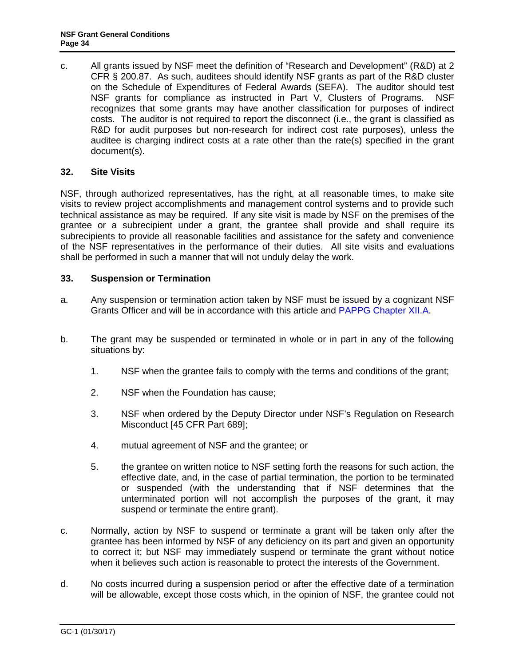c. All grants issued by NSF meet the definition of "Research and Development" (R&D) at 2 CFR § 200.87. As such, auditees should identify NSF grants as part of the R&D cluster on the Schedule of Expenditures of Federal Awards (SEFA). The auditor should test NSF grants for compliance as instructed in Part V, Clusters of Programs. NSF recognizes that some grants may have another classification for purposes of indirect costs. The auditor [is not required to r](http://www.access.gpo.gov/nara/cfr/waisidx_06/45cfr689_06.html)eport the disconnect (i.e., the grant is classified as R&D for audit purposes but non-research for indirect cost rate purposes), unless the auditee is charging indirect costs at a rate other than the rate(s) specified in the grant document(s).

# **32. Site Visits**

NSF, through authorized representatives, has the right, at all reasonable times, to make site visits to review project accomplishments and management control systems and to provide such technical assistance as may be required. If any site visit is made by NSF on the premises of the grantee or a subrecipient under a grant, the grantee shall provide and shall require its subrecipients to provide all reasonable facilities and assistance for the safety and convenience of the NSF representatives in the performance of their duties. All site visits and evaluations shall be performed in such a manner that will not unduly delay the work.

# **33. Suspension or Termination**

- a. Any suspension or termination action taken by NSF must be issued by a cognizant NSF Grants Officer and will be in accordance with this article and PAPPG Chapter XII.A.
- b. The grant may be suspended or terminated in whole or in part in any of the following situations by:
	- 1. NSF when the grantee fails to comply with the terms and conditions of the grant;
	- 2. NSF when the Foundation has cause;
	- 3. NSF when ordered by the Deputy Director under NSF's Regulation on Research Misconduct [45 CFR Part 689];
	- 4. mutual agreement of NSF and the grantee; or
	- 5. the grantee on written notice to NSF [setting fo](#page-33-0)rth the reasons for such action, the effective date, and, in the case of partial termination, the portion to be terminated or suspended (with the understanding that if NSF determines that the unterminated portion will not accomplish the p[urposes of the grant, it may](https://www.nsf.gov/pubs/policydocs/pappg17_1/pappg_12.jsp#XIIB)  suspend or terminate the entire grant).
- <span id="page-33-0"></span>c. Normally, action by NSF to suspend or terminate a grant will be taken only after the grantee has been informed by NSF of any deficiency on its part and given an opportunity to correct it; but NSF may immediately suspend or terminate the grant without notice when it believes such action is reasonable to protect the interests of the Government.
- d. No costs incurred during a suspension period or after the effective date of a termination will be allowable, except those costs which, in the opinion of NSF, the grantee could not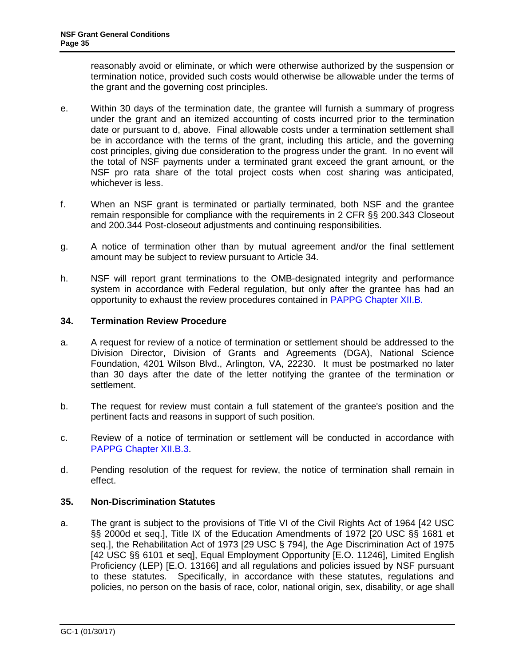reasonably avoid or eliminate, or which were otherwise authorized by the suspension or termination notice, provided such costs would otherwise be allowable under the terms of the grant and the governing cost principles.

- e. Within 30 days of the termination date, the grantee will furnish a summary of progress under the grant and an itemized accounting of costs incurred prior to the termination date or pursuant to d, above. Final allowable costs under a termination settlement shall be in accordance with the terms of the grant, including this article, and the governing cost principles, giving due consideration to the progress under the grant. In no event will the total of NSF payments under a terminated grant exceed the grant amount, or the NSF pro rata share of the total project costs when cost sharing was anticipated, [whichever is less.](https://www.nsf.gov/pubs/policydocs/pappg17_1/pappg_12.jsp#XIIB)
- f. When an NSF grant is terminated or partially terminated, both NSF and the grantee remain responsible for compliance with the requirements in 2 CFR §§ 200.343 Closeout and 200.344 Post-closeout adjustments and continuing responsibilities.
- <span id="page-34-0"></span>g. A notice of termination other than by mutual agreement and/or the final s[ettlement](http://frwebgate.access.gpo.gov/cgi-bin/getdoc.cgi?dbname=browse_usc&docid=Cite:+42USC2000d)  [amount m](http://frwebgate.access.gpo.gov/cgi-bin/getdoc.cgi?dbname=browse_usc&docid=Cite:+42USC2000d)ay be subject to review pursuant to Article 34.
- h. [NSF will report grant](http://www.access.gpo.gov/uscode/title42/chapter76_.html) terminations [to the OMB-de](http://frwebgate.access.gpo.gov/cgi-bin/getdoc.cgi?dbname=browse_usc&docid=Cite:+29USC794)signated integrity and performance system in accordance with Federal regulation, but only after the grantee has had an opportunity to exhaust the review procedures contained in PAPPG Chapter XII.B.

# **34. Termination Review Procedure**

- a. A request for review of a notice of termination or settlement should be addressed to the Division Director, Division of Grants and Agreements (DGA), National Science Foundation, 4201 Wilson Blvd., Arlington, VA, 22230. It must be postmarked no later than 30 days after the date of the letter notifying the grantee of the termi[n](#page-34-2)ation or settlement.
- b. The request for review must contain a full statement of the grantee's position and the pertinent facts and reasons in support of such position.
- c. Review of a notice of termination or settlement will be conducted in accordance with PAPPG [Chapter XII.B.3.](https://www.nsf.gov/pubs/policydocs/pappg17_1/pappg_11.jsp#XIA)
- <span id="page-34-1"></span>d. Pending resolution of the request for review, the notice of termination shall remain in effect.

# **35. Non-Discrimination Statutes**

<span id="page-34-2"></span>a. The grant is subject to the provisions of Title VI of the Civil Rights Act of 1964 [42 USC §§ 2000d et seq.], Title IX of the Education Amendments of 1972 [20 USC §§ 1681 et seq.], the Rehabilitation Act of 1973 [29 USC § 794], the Age Discrimination Act of 1975 [42 USC §§ 6101 et seq], Equal Employment Opportunity [E.O. 11246], Limited English Proficiency (LEP) [E.O. 13166] and all regulations and policies issued by NSF pursuant to these statutes. Specifically, in accordance with these statutes, regulations and policies, no person on the basis of race, color, national origin, [sex, disability, or age sha](https://www.nsf.gov/pubs/policydocs/pappg17_1/pappg_2.jsp#2ex6)ll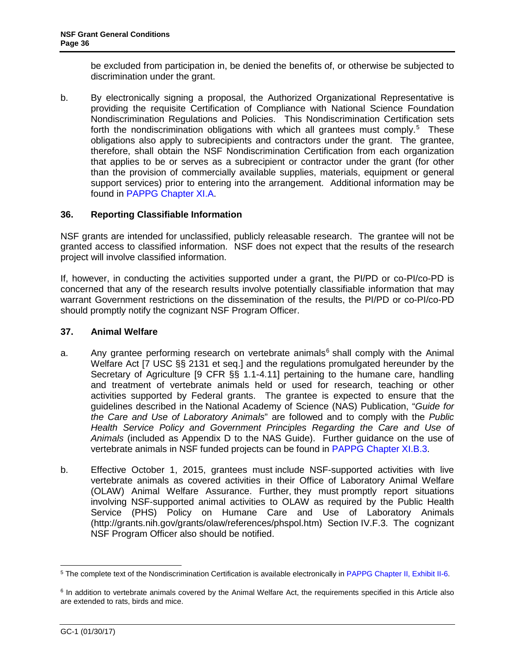<span id="page-35-0"></span>be excluded from participation in, be denied the benefits of, or otherwise be subjected to discrimination under the grant.

b. By electroni[cally signing a proposa](http://www.access.gpo.gov/uscode/title7/chapter54_.html)l, the Authorized Organizational Representative is providing the requisite [Certification of Comp](http://www.access.gpo.gov/nara/cfr/waisidx_07/9cfrv1_07.html)liance with National Science Foundation Nondiscrimination Regulations and Policies. This Nondiscrimination Certification sets forth the nondiscrimination obligations with which all grantees must comply.<sup>5</sup> These obligations also apply to subrecipients and contractors under the grant. Th[e grantee,](http://www.nap.edu/readingroom/books/labrats/)  [therefore, shall obtain the NSF Nondiscrim](http://www.nap.edu/readingroom/books/labrats/)ination Certification from each organization that applies to be or serves as a subrecipient or contractor under the grant (for other than the provision of commercially available supplies, materials, equipment or general support services) prior to entering into the arrangement. [Additional information m](https://www.nsf.gov/pubs/policydocs/pappg17_1/pappg_11.jsp#XIB3)ay be found in PAPPG Chapter XI.A.

# **36. Reporting Classifiable Information**

NSF grants are intended for unclassified, publicly releasable research. The grantee will not be granted access to classified information. NSF does not expect that the results of the research project [will involve classified information.](http://grants.nih.gov/grants/olaw/references/phspol.htm) 

If, however, in conducting the activities supported under a grant, the PI/PD or co-PI/co-PD is concerned that any of the research results involve potentially classifiable information that may warrant Government restrictions on the dissemination of the results, the PI/PD or co-PI/co-PD should promptly notify the cognizant NSF Program Officer.

### **37. Animal Welfare**

- a. Any grantee performing research on vertebrate animals $6$  shall comply with the Animal Welfare Act [7 USC §§ 2131 et seq.] and the regulations promulgated hereunder by the Secretary of Agriculture [9 CFR §§ 1.1-4.11] pertaining to the humane care, handling and treatment of vertebrate animals held or used for research, teaching or other activities supported by Federal grants. The grantee is expected to ensure that the guidelines described in the National Academy of Science (NAS) Publication, "*Guide for the Care and Use of Laboratory Animals*" are followed and to comply with the *Public Health [Service Policy and](http://www.aphis.usda.gov/) Government Principles Regarding the Care and Use of Animals* (included as Appendix D to the NAS Guide). Further guidance on the use of vertebrate animals in NSF funded projects can be found in PAPPG Chapter XI.B.3.
- <span id="page-35-1"></span>b. Effective October 1, 2015, grantees must include NSF-supported activities with live vertebrate animals as covered activities in their Office of Laboratory Animal Welfare (OLAW) Animal Welfare Assurance. Further, they must promptly report situations involving NSF-supported animal activities to OLAW as required by the Public Health Service (PHS) Policy on Humane Care and Use of Laboratory Animals (http://grants.nih.gov/grants/olaw/references/phspol.htm) Section IV.F.3. The cognizant NSF Program Officer also should be notified.

 $\ddot{\phantom{a}}$ <sup>5</sup> The complete text of the Nondiscrimination Certification is available electronically in PAPPG Chapter II, Exhibit II-6.

<sup>6</sup> In addition to vertebrate animals covered by the Animal Welfare Act, the requirements specified in this Article also are extended to rats, birds and mice.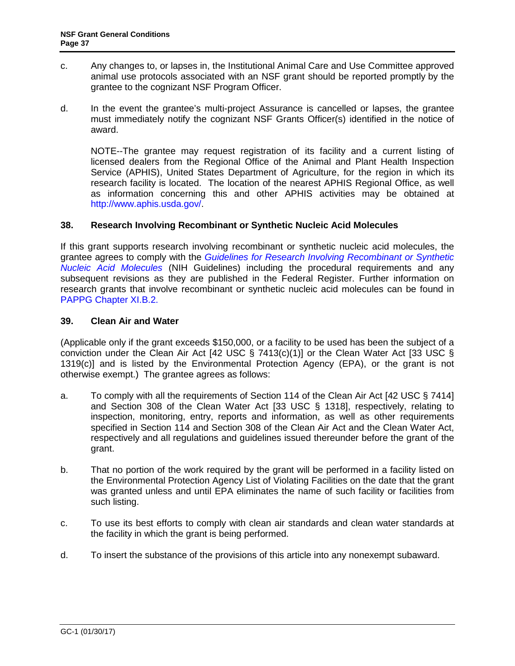- <span id="page-36-2"></span>c. Any changes to, or lapses in, the Institutional Animal Care and Use Committee approved animal use protocols associated with an NSF grant should be reported promptly by the grantee to the cognizant N[SF Program Officer.](http://osp.od.nih.gov/office-biotechnology-activities/biosafety/nih-guidelines)
- [d. In the event the g](http://osp.od.nih.gov/office-biotechnology-activities/biosafety/nih-guidelines)rantee's multi-project Assurance is cancelled or lapses, the grantee must immediately notify the cognizant NSF Grants Officer(s) identified in the notice of award.

<span id="page-36-0"></span>NOTE--The grantee may request registration of its facility and a current listing of licensed dealers from the Regional Office of the Animal and Plant Health Inspection Service (APHIS), United States Department of Agriculture, for the region in which its research facility is located. [The location of the nea](http://frwebgate.access.gpo.gov/cgi-bin/getdoc.cgi?dbname=browse_usc&docid=Cite:+42USC7413)rest APHIS Regional Off[ice, as well](http://frwebgate.access.gpo.gov/cgi-bin/getdoc.cgi?dbname=browse_usc&docid=Cite:+33USC1319)  as information concerning this and other APHIS activities may be obtained at http://www.aphis.usda.gov/.

### **38. Research Involving Recombinant or Synt[hetic Nucleic Acid](http://frwebgate.access.gpo.gov/cgi-bin/getdoc.cgi?dbname=browse_usc&docid=Cite:+33USC1318) Molecu[les](http://frwebgate.access.gpo.gov/cgi-bin/getdoc.cgi?dbname=browse_usc&docid=Cite:+42USC7414)**

If this grant supports research involving recombinant or synthetic nucleic acid molecules, the grantee agrees to comply with the *Guidelines for Research Involving Recombinant or Synthetic Nucleic Acid Molecules* (NIH Guidelines) including the procedural requirements and any subsequent revisions as they are published in the Federal Register. Further information on research grants that involve recombinant or synthetic nucleic acid molecules can be found in PAPPG Chapter XI.B.2.

#### **39. Clean Air and Water**

(Applicable only if the grant exceeds \$150,000, or a facility to be used has been the subject of a conviction under the Clean Air Act [42 USC § 7413(c)(1)] or the Clean Water Act [33 USC § 1319(c)] and is listed by the Environmental Protection Agency (EPA), or the grant is not otherwise exempt.) The grantee agrees as follows:

- <span id="page-36-1"></span>a. To comply with all the requirements of Section 114 of the Clean Air Act [42 USC § 7414] and Section 308 of the Clean Water Act [33 USC § 1318], respectively, relating to inspection, monitoring, entry, reports and information, as well as other requirements specified in Section 114 and Section 308 of the Clean Air Act and the Clean Water Act, respectively and all regulations and guidelines issued thereunder before th[e grant](http://www.access.gpo.gov/nara/cfr/waisidx_06/45cfr690_06.html) of the grant.
- b. That no portion of the work required by the grant will be performed in a facility listed on the Environmental Protection Agency List of Violating Facilities on the date that the grant was granted un[less and until EPA eliminates the name of such facility or facilities from](http://www.phe.gov/s3/dualuse/Pages/default.aspx)  [such listing.](http://www.phe.gov/s3/dualuse/Pages/default.aspx)
- c. T[o use its best efforts to comply with clean air standards and clean water standards at](https://www.nsf.gov/pubs/policydocs/pappg17_1/pappg_11.jsp#XIB5)  the facility in which the grant is being performed.
- d. To insert the substance of the provisions of this article into any nonexempt subaward.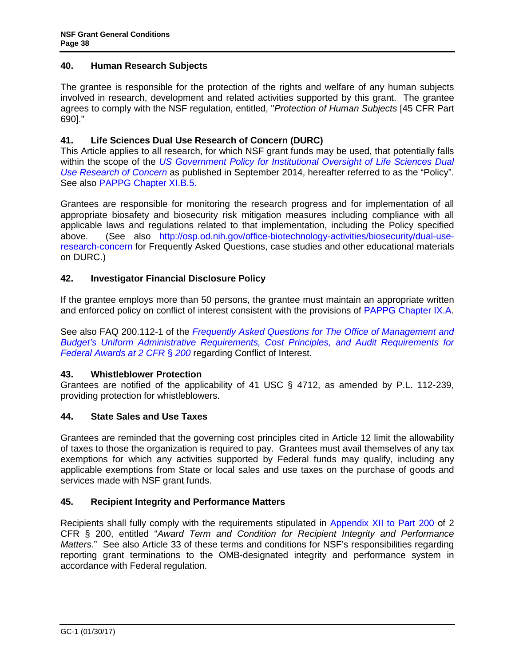### <span id="page-37-4"></span>**40. Human Research Subjects**

The grantee is responsible for the protection of the rights and welfare of any human subjects involved in research, d[evelopment and related activities supported by this grant. The grantee](http://osp.od.nih.gov/office-biotechnology-activities/biosecurity/dual-use-research-concern)  [agrees to comply w](http://osp.od.nih.gov/office-biotechnology-activities/biosecurity/dual-use-research-concern)ith the NSF regulation, entitled, "*Protection of Human Subjects* [45 CFR Part 690]."

### <span id="page-37-0"></span>**41. Life Sciences Dual Use Research of Concern (DURC)**

This Article applies to all research, for which NSF grant funds may be used, that potentially falls within the scope of the *US Government Policy for Institutional Oversight of Life Sciences Dual Use Research of Concern* as published in September 2014, hereafter ref[erred to as the "Policy".](https://www.nsf.gov/pubs/policydocs/pappg17_1/pappg_9.jsp#IXA) See also PAPPG Chapter XI.B.5.

[Grantees are responsible for monitoring the research progress and for implementation of all](https://cfo.gov/wp-content/uploads/2015/09/9.9.15-Frequently-Asked-Questions.pdf)  [appropriate biosafety and biose](https://cfo.gov/wp-content/uploads/2015/09/9.9.15-Frequently-Asked-Questions.pdf)curity risk mitigation measures including compliance with all applicable laws and regulations related to that implementation, including the Policy specified above. (See also http://osp.od.nih.gov/office-biotechnology-activities/biosecurity/dual-useresearch-concern for Frequently Asked Questions, case studies and other educational materials on DURC.)

### <span id="page-37-1"></span>**42. Investigator Financial Disclosure Policy**

If the grantee employs more than 50 persons, the grantee must [maintain an](#page-12-2) appropriate written and enforced policy on conflict of interest consistent with the provisions of PAPPG Chapter IX.A.

See also FAQ 200.112-1 of the *Frequently Asked Questions for The Office of Management and Budget's Uniform Administrative Requirements, Cost Principles, and Audit Requirements for Federal Awards at 2 CFR* § *200* regarding Conflict of Interest.

#### **43. Whistleblower Protection**

Grantees are notified of the applicability of 41 USC § 4712, [as amended by P.L. 112-2](http://www.ecfr.gov/cgi-bin/text-idx?SID=704835d27377ef5213a51c149de40cab&node=2:1.1.2.2.1&rgn=div5)39, providing protection for whistleblowers.

### **44. State Sales and Use Taxes**

<span id="page-37-2"></span>Grantees are reminded that the governing cost principles cited in Article 12 limit the allowability of taxes to those the organization is required to pay. Grantees must avail themselves of any tax exemptions for which any activities supported by Federal fu[nds may qualify, including any](http://www.whitehouse.gov/omb/fedreg/2005/083105_debarment.pdf) applicab[le exemptions from State or local sales and use taxes on](http://www.gpo.gov/fdsys/pkg/CFR-2011-title2-vol1/pdf/CFR-2011-title2-vol1-part2520.pdf) the purchase of goods and services made with NSF grant funds.

#### **45. Recipient Integrity and Perfor[mance Matters](http://www.whitehouse.gov/omb/fedreg/2005/083105_debarment.pdf)**

<span id="page-37-3"></span>Recipients shall fully comply with the requirements stipulated in Appendix XII to Part 200 of 2 CFR § 200, entitled "*Award [Term and Conditio](http://www.nsf.gov/oig/2_CFR_PART180.pdf)n for Recipient Integrity and Performance Matters*." See also Article 33 of these terms and conditions for NSF's responsibilities regarding reporting grant terminations to the OMB-designated integrity and performance system in accordance with Federal regulation.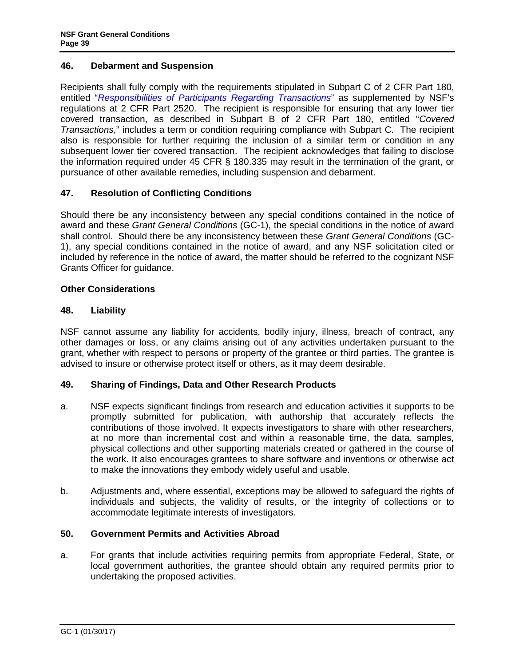### **46. Debarment and Suspension**

Recipients shall fully comply with the requirements stipulated in Subpart C of 2 CFR Part 180, entitled "*Responsibilities of Participants Regarding Transactions*" as supplemented by NSF's regulations at 2 CFR Part 2520. The recipient is responsible for ensuring that any lower tier covered transaction, as described in Subpart B of 2 CFR Part 180, entitled "*Covered Transactions*," includes a term or condition requiring compliance with Subpart C. The recipient also is responsible for further requiring the inclusion of a similar term or condition in any subsequent lower tier covered transaction. The recipient acknowledges that failing to disclose the information required under 45 CFR § 180.335 may result in the termination of the grant, or pursuance of other available remedies, including suspension and debarment.

# <span id="page-38-1"></span><span id="page-38-0"></span>**47. Resolution of Conflicting Conditions**

<span id="page-38-2"></span>Should there be any inconsistency between any special conditions contained in the notice of award and these *Grant General Conditions* (GC-1), the special conditions in the notice of award shall control. Should there be any inconsistency between these *Grant General Conditions* (GC-1), any special conditions contained in the notice of award, and any NSF solicitation cited or included by reference in the notice of award, the matter should be referred to the cognizant NSF Grants Officer for guidance.

# **Other Considerations**

### **48. Liability**

NSF cannot assume any liability for accidents, bodily injury, illness, breach of contract, any other damages or loss, or any claims arising out of any activities undertaken pursuant to the grant, whether with respect to persons or property of the grantee or third parties. The grantee is advised to insure or otherwise protect itself or others, as it may deem desirable.

# <span id="page-38-3"></span>**49. Sharing of Findings, Data and Other Research Products**

- a. NSF expects significant findings from research and education activities it supports to be promptly submitted for publication, with authorship that accurately reflects the contributions of those involved. It expects investigators to share with other researchers, at no more than incremental cost and within a reasonable time, the data, samples, physical collections and other supporting materials created or gathered in the course of the work. It also encourages grantees to share software and inventions or otherwise act to make the innovations they embody widely useful and usable.
- b. Adjustments and, where essential, exceptions may be allowed to safeguard the rights of individuals and subjects, the validity of results, or the integrity of collections or to accommodate legitimate interests of investigators.

#### **50. Government Permits and Activities Abroad**

a. For grants that include activities requiring permits from appropriate Federal, State, or local government authorities, the grantee should obtain any required permits prior to undertaking the proposed activities.